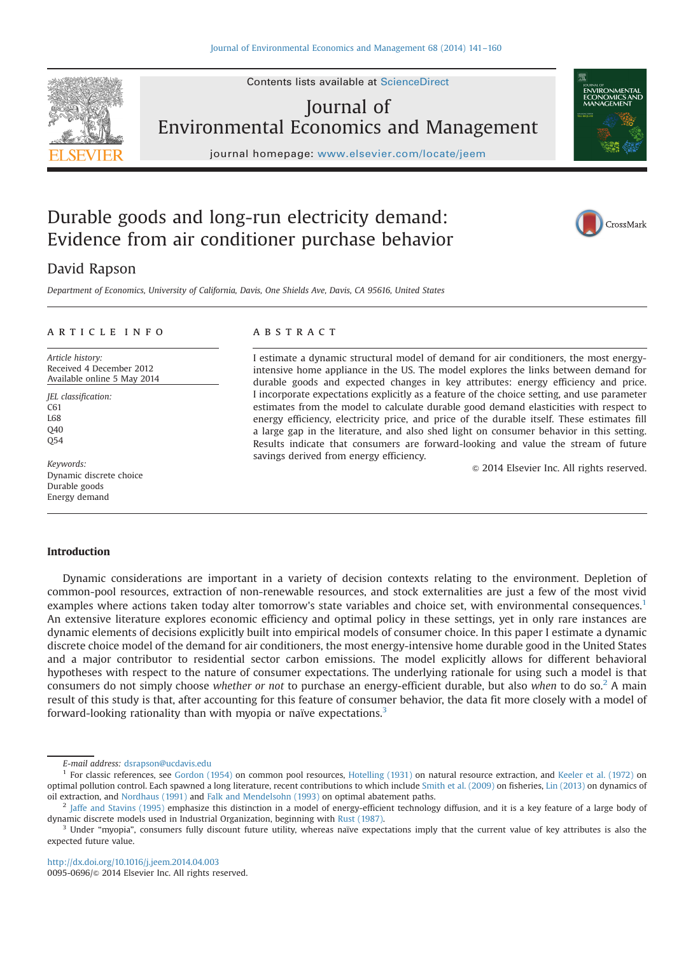

Journal of Environmental Economics and Management

journal homepage: <www.elsevier.com/locate/jeem>

# Durable goods and long-run electricity demand: Evidence from air conditioner purchase behavior

## David Rapson

Department of Economics, University of California, Davis, One Shields Ave, Davis, CA 95616, United States

## article info

Article history: Received 4 December 2012 Available online 5 May 2014

JEL classification: C61 L68 Q40 Q54

Keywords: Dynamic discrete choice Durable goods Energy demand

## **ABSTRACT**

I estimate a dynamic structural model of demand for air conditioners, the most energyintensive home appliance in the US. The model explores the links between demand for durable goods and expected changes in key attributes: energy efficiency and price. I incorporate expectations explicitly as a feature of the choice setting, and use parameter estimates from the model to calculate durable good demand elasticities with respect to energy efficiency, electricity price, and price of the durable itself. These estimates fill a large gap in the literature, and also shed light on consumer behavior in this setting. Results indicate that consumers are forward-looking and value the stream of future savings derived from energy efficiency.

 $\odot$  2014 Elsevier Inc. All rights reserved.

## Introduction

Dynamic considerations are important in a variety of decision contexts relating to the environment. Depletion of common-pool resources, extraction of non-renewable resources, and stock externalities are just a few of the most vivid examples where actions taken today alter tomorrow's state variables and choice set, with environmental consequences.<sup>1</sup> An extensive literature explores economic efficiency and optimal policy in these settings, yet in only rare instances are dynamic elements of decisions explicitly built into empirical models of consumer choice. In this paper I estimate a dynamic discrete choice model of the demand for air conditioners, the most energy-intensive home durable good in the United States and a major contributor to residential sector carbon emissions. The model explicitly allows for different behavioral hypotheses with respect to the nature of consumer expectations. The underlying rationale for using such a model is that consumers do not simply choose whether or not to purchase an energy-efficient durable, but also when to do so.<sup>2</sup> A main result of this study is that, after accounting for this feature of consumer behavior, the data fit more closely with a model of forward-looking rationality than with myopia or naïve expectations.<sup>3</sup>



CrossMark

E-mail address: [dsrapson@ucdavis.edu](mailto:dsrapson@ucdavis.edu)

<sup>1</sup> For classic references, see [Gordon \(1954\)](#page-19-0) on common pool resources, [Hotelling \(1931\)](#page-19-0) on natural resource extraction, and [Keeler et al. \(1972\)](#page-19-0) on optimal pollution control. Each spawned a long literature, recent contributions to which include [Smith et al. \(2009\)](#page-19-0) on fisheries, [Lin \(2013\)](#page-19-0) on dynamics of oil extraction, and [Nordhaus \(1991\)](#page-19-0) and [Falk and Mendelsohn \(1993\)](#page-19-0) on optimal abatement paths.

<sup>&</sup>lt;sup>2</sup> [Jaffe and Stavins \(1995\)](#page-19-0) emphasize this distinction in a model of energy-efficient technology diffusion, and it is a key feature of a large body of dynamic discrete models used in Industrial Organization, beginning with [Rust \(1987\).](#page-19-0)

<sup>&</sup>lt;sup>3</sup> Under "myopia", consumers fully discount future utility, whereas naïve expectations imply that the current value of key attributes is also the expected future value.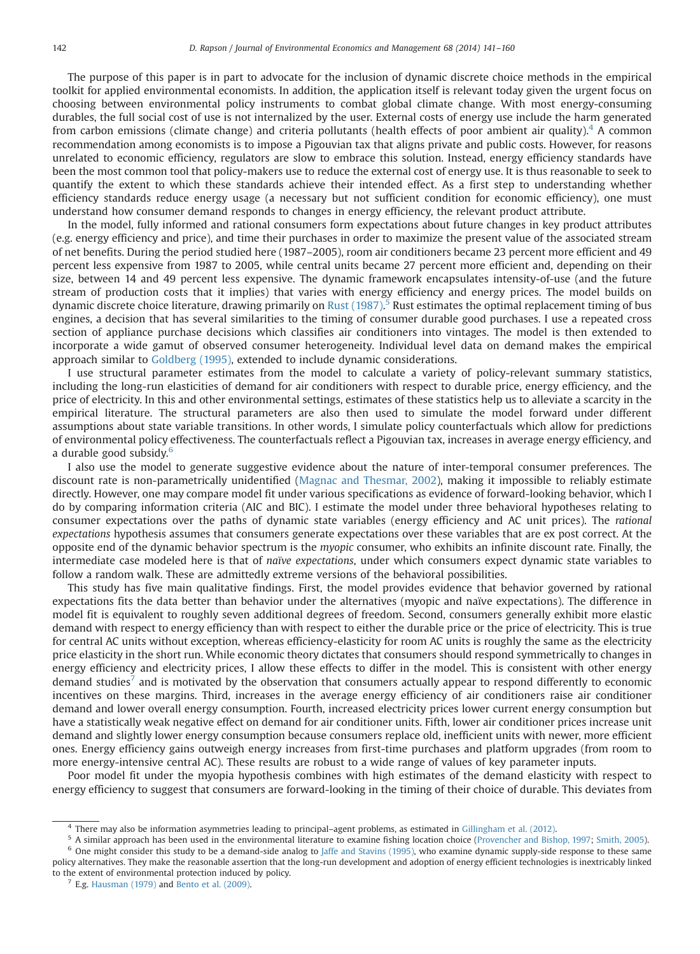The purpose of this paper is in part to advocate for the inclusion of dynamic discrete choice methods in the empirical toolkit for applied environmental economists. In addition, the application itself is relevant today given the urgent focus on choosing between environmental policy instruments to combat global climate change. With most energy-consuming durables, the full social cost of use is not internalized by the user. External costs of energy use include the harm generated from carbon emissions (climate change) and criteria pollutants (health effects of poor ambient air quality).<sup>4</sup> A common recommendation among economists is to impose a Pigouvian tax that aligns private and public costs. However, for reasons unrelated to economic efficiency, regulators are slow to embrace this solution. Instead, energy efficiency standards have been the most common tool that policy-makers use to reduce the external cost of energy use. It is thus reasonable to seek to quantify the extent to which these standards achieve their intended effect. As a first step to understanding whether efficiency standards reduce energy usage (a necessary but not sufficient condition for economic efficiency), one must understand how consumer demand responds to changes in energy efficiency, the relevant product attribute.

In the model, fully informed and rational consumers form expectations about future changes in key product attributes (e.g. energy efficiency and price), and time their purchases in order to maximize the present value of the associated stream of net benefits. During the period studied here (1987–2005), room air conditioners became 23 percent more efficient and 49 percent less expensive from 1987 to 2005, while central units became 27 percent more efficient and, depending on their size, between 14 and 49 percent less expensive. The dynamic framework encapsulates intensity-of-use (and the future stream of production costs that it implies) that varies with energy efficiency and energy prices. The model builds on dynamic discrete choice literature, drawing primarily on [Rust \(1987\)](#page-19-0).<sup>5</sup> Rust estimates the optimal replacement timing of bus engines, a decision that has several similarities to the timing of consumer durable good purchases. I use a repeated cross section of appliance purchase decisions which classifies air conditioners into vintages. The model is then extended to incorporate a wide gamut of observed consumer heterogeneity. Individual level data on demand makes the empirical approach similar to [Goldberg \(1995\),](#page-19-0) extended to include dynamic considerations.

I use structural parameter estimates from the model to calculate a variety of policy-relevant summary statistics, including the long-run elasticities of demand for air conditioners with respect to durable price, energy efficiency, and the price of electricity. In this and other environmental settings, estimates of these statistics help us to alleviate a scarcity in the empirical literature. The structural parameters are also then used to simulate the model forward under different assumptions about state variable transitions. In other words, I simulate policy counterfactuals which allow for predictions of environmental policy effectiveness. The counterfactuals reflect a Pigouvian tax, increases in average energy efficiency, and a durable good subsidy.<sup>6</sup>

I also use the model to generate suggestive evidence about the nature of inter-temporal consumer preferences. The discount rate is non-parametrically unidentified ([Magnac and Thesmar, 2002\)](#page-19-0), making it impossible to reliably estimate directly. However, one may compare model fit under various specifications as evidence of forward-looking behavior, which I do by comparing information criteria (AIC and BIC). I estimate the model under three behavioral hypotheses relating to consumer expectations over the paths of dynamic state variables (energy efficiency and AC unit prices). The rational expectations hypothesis assumes that consumers generate expectations over these variables that are ex post correct. At the opposite end of the dynamic behavior spectrum is the myopic consumer, who exhibits an infinite discount rate. Finally, the intermediate case modeled here is that of naïve expectations, under which consumers expect dynamic state variables to follow a random walk. These are admittedly extreme versions of the behavioral possibilities.

This study has five main qualitative findings. First, the model provides evidence that behavior governed by rational expectations fits the data better than behavior under the alternatives (myopic and naïve expectations). The difference in model fit is equivalent to roughly seven additional degrees of freedom. Second, consumers generally exhibit more elastic demand with respect to energy efficiency than with respect to either the durable price or the price of electricity. This is true for central AC units without exception, whereas efficiency-elasticity for room AC units is roughly the same as the electricity price elasticity in the short run. While economic theory dictates that consumers should respond symmetrically to changes in energy efficiency and electricity prices, I allow these effects to differ in the model. This is consistent with other energy demand studies<sup>7</sup> and is motivated by the observation that consumers actually appear to respond differently to economic incentives on these margins. Third, increases in the average energy efficiency of air conditioners raise air conditioner demand and lower overall energy consumption. Fourth, increased electricity prices lower current energy consumption but have a statistically weak negative effect on demand for air conditioner units. Fifth, lower air conditioner prices increase unit demand and slightly lower energy consumption because consumers replace old, inefficient units with newer, more efficient ones. Energy efficiency gains outweigh energy increases from first-time purchases and platform upgrades (from room to more energy-intensive central AC). These results are robust to a wide range of values of key parameter inputs.

Poor model fit under the myopia hypothesis combines with high estimates of the demand elasticity with respect to energy efficiency to suggest that consumers are forward-looking in the timing of their choice of durable. This deviates from

<sup>4</sup> There may also be information asymmetries leading to principal–agent problems, as estimated in [Gillingham et al. \(2012\).](#page-19-0)

<sup>5</sup> A similar approach has been used in the environmental literature to examine fishing location choice [\(Provencher and Bishop, 1997;](#page-19-0) [Smith, 2005](#page-19-0)).

<sup>6</sup> One might consider this study to be a demand-side analog to [Jaffe and Stavins \(1995\)](#page-19-0), who examine dynamic supply-side response to these same policy alternatives. They make the reasonable assertion that the long-run development and adoption of energy efficient technologies is inextricably linked to the extent of environmental protection induced by policy.

<sup>7</sup> E.g. [Hausman \(1979\)](#page-19-0) and [Bento et al. \(2009\)](#page-19-0).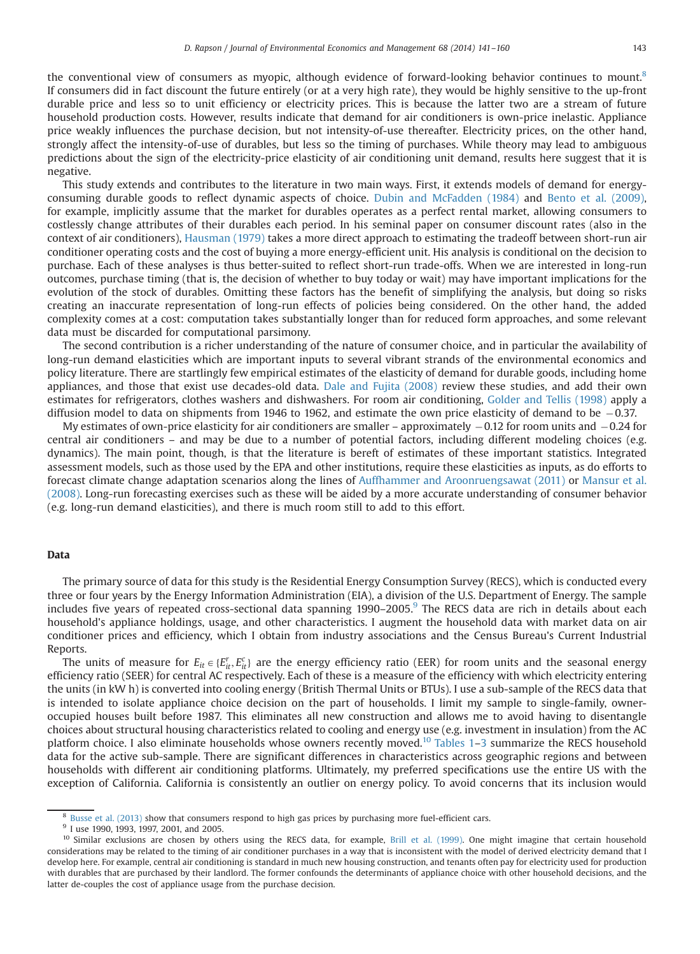the conventional view of consumers as myopic, although evidence of forward-looking behavior continues to mount.<sup>8</sup> If consumers did in fact discount the future entirely (or at a very high rate), they would be highly sensitive to the up-front durable price and less so to unit efficiency or electricity prices. This is because the latter two are a stream of future household production costs. However, results indicate that demand for air conditioners is own-price inelastic. Appliance price weakly influences the purchase decision, but not intensity-of-use thereafter. Electricity prices, on the other hand, strongly affect the intensity-of-use of durables, but less so the timing of purchases. While theory may lead to ambiguous predictions about the sign of the electricity-price elasticity of air conditioning unit demand, results here suggest that it is negative.

This study extends and contributes to the literature in two main ways. First, it extends models of demand for energyconsuming durable goods to reflect dynamic aspects of choice. [Dubin and McFadden \(1984\)](#page-19-0) and [Bento et al. \(2009\)](#page-19-0), for example, implicitly assume that the market for durables operates as a perfect rental market, allowing consumers to costlessly change attributes of their durables each period. In his seminal paper on consumer discount rates (also in the context of air conditioners), [Hausman \(1979\)](#page-19-0) takes a more direct approach to estimating the tradeoff between short-run air conditioner operating costs and the cost of buying a more energy-efficient unit. His analysis is conditional on the decision to purchase. Each of these analyses is thus better-suited to reflect short-run trade-offs. When we are interested in long-run outcomes, purchase timing (that is, the decision of whether to buy today or wait) may have important implications for the evolution of the stock of durables. Omitting these factors has the benefit of simplifying the analysis, but doing so risks creating an inaccurate representation of long-run effects of policies being considered. On the other hand, the added complexity comes at a cost: computation takes substantially longer than for reduced form approaches, and some relevant data must be discarded for computational parsimony.

The second contribution is a richer understanding of the nature of consumer choice, and in particular the availability of long-run demand elasticities which are important inputs to several vibrant strands of the environmental economics and policy literature. There are startlingly few empirical estimates of the elasticity of demand for durable goods, including home appliances, and those that exist use decades-old data. [Dale and Fujita \(2008\)](#page-19-0) review these studies, and add their own estimates for refrigerators, clothes washers and dishwashers. For room air conditioning, [Golder and Tellis \(1998\)](#page-19-0) apply a diffusion model to data on shipments from 1946 to 1962, and estimate the own price elasticity of demand to be  $-0.37$ .

My estimates of own-price elasticity for air conditioners are smaller – approximately  $-0.12$  for room units and  $-0.24$  for central air conditioners – and may be due to a number of potential factors, including different modeling choices (e.g. dynamics). The main point, though, is that the literature is bereft of estimates of these important statistics. Integrated assessment models, such as those used by the EPA and other institutions, require these elasticities as inputs, as do efforts to forecast climate change adaptation scenarios along the lines of [Auffhammer and Aroonruengsawat \(2011\)](#page-19-0) or [Mansur et al.](#page-19-0) [\(2008\)](#page-19-0). Long-run forecasting exercises such as these will be aided by a more accurate understanding of consumer behavior (e.g. long-run demand elasticities), and there is much room still to add to this effort.

## Data

The primary source of data for this study is the Residential Energy Consumption Survey (RECS), which is conducted every three or four years by the Energy Information Administration (EIA), a division of the U.S. Department of Energy. The sample includes five years of repeated cross-sectional data spanning 1990–2005.<sup>9</sup> The RECS data are rich in details about each household's appliance holdings, usage, and other characteristics. I augment the household data with market data on air conditioner prices and efficiency, which I obtain from industry associations and the Census Bureau's Current Industrial Reports.

The units of measure for  $E_{it} \in \{E_{it}^r, E_{it}^c\}$  are the energy efficiency ratio (EER) for room units and the seasonal energy ciency ratio (SEER) for central AC respectively. Each of these is a measure of the efficiency efficiency ratio (SEER) for central AC respectively. Each of these is a measure of the efficiency with which electricity entering the units (in kW h) is converted into cooling energy (British Thermal Units or BTUs). I use a sub-sample of the RECS data that is intended to isolate appliance choice decision on the part of households. I limit my sample to single-family, owneroccupied houses built before 1987. This eliminates all new construction and allows me to avoid having to disentangle choices about structural housing characteristics related to cooling and energy use (e.g. investment in insulation) from the AC platform choice. I also eliminate households whose owners recently moved.10 [Tables 1](#page-3-0)–[3](#page-4-0) summarize the RECS household data for the active sub-sample. There are significant differences in characteristics across geographic regions and between households with different air conditioning platforms. Ultimately, my preferred specifications use the entire US with the exception of California. California is consistently an outlier on energy policy. To avoid concerns that its inclusion would

<sup>8</sup> [Busse et al. \(2013\)](#page-19-0) show that consumers respond to high gas prices by purchasing more fuel-efficient cars.

<sup>9</sup> I use 1990, 1993, 1997, 2001, and 2005.

<sup>&</sup>lt;sup>10</sup> Similar exclusions are chosen by others using the RECS data, for example, [Brill et al. \(1999\).](#page-19-0) One might imagine that certain household considerations may be related to the timing of air conditioner purchases in a way that is inconsistent with the model of derived electricity demand that I develop here. For example, central air conditioning is standard in much new housing construction, and tenants often pay for electricity used for production with durables that are purchased by their landlord. The former confounds the determinants of appliance choice with other household decisions, and the latter de-couples the cost of appliance usage from the purchase decision.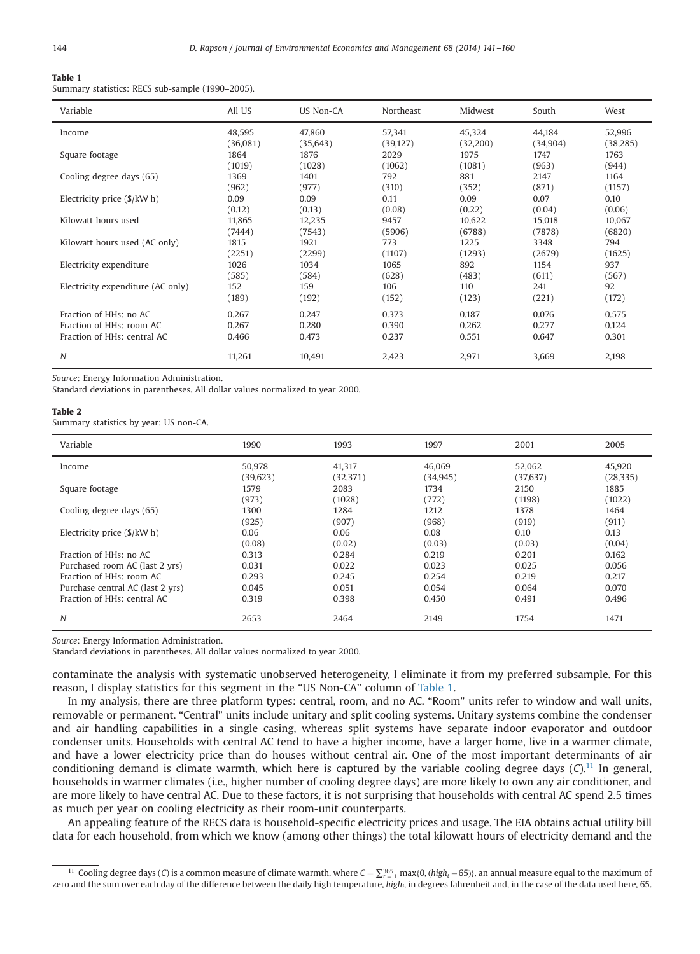#### <span id="page-3-0"></span>Table 1

|  |  |  |  | Summary statistics: RECS sub-sample (1990–2005). |  |
|--|--|--|--|--------------------------------------------------|--|
|--|--|--|--|--------------------------------------------------|--|

| Variable                          | All US   | US Non-CA | Northeast | Midwest  | South     | West      |
|-----------------------------------|----------|-----------|-----------|----------|-----------|-----------|
| Income                            | 48,595   | 47,860    | 57,341    | 45,324   | 44,184    | 52,996    |
|                                   | (36,081) | (35, 643) | (39, 127) | (32,200) | (34, 904) | (38, 285) |
| Square footage                    | 1864     | 1876      | 2029      | 1975     | 1747      | 1763      |
|                                   | (1019)   | (1028)    | (1062)    | (1081)   | (963)     | (944)     |
| Cooling degree days (65)          | 1369     | 1401      | 792       | 881      | 2147      | 1164      |
|                                   | (962)    | (977)     | (310)     | (352)    | (871)     | (1157)    |
| Electricity price (\$/kW h)       | 0.09     | 0.09      | 0.11      | 0.09     | 0.07      | 0.10      |
|                                   | (0.12)   | (0.13)    | (0.08)    | (0.22)   | (0.04)    | (0.06)    |
| Kilowatt hours used               | 11,865   | 12,235    | 9457      | 10,622   | 15,018    | 10,067    |
| Kilowatt hours used (AC only)     | (7444)   | (7543)    | (5906)    | (6788)   | (7878)    | (6820)    |
|                                   | 1815     | 1921      | 773       | 1225     | 3348      | 794       |
| Electricity expenditure           | (2251)   | (2299)    | (1107)    | (1293)   | (2679)    | (1625)    |
|                                   | 1026     | 1034      | 1065      | 892      | 1154      | 937       |
| Electricity expenditure (AC only) | (585)    | (584)     | (628)     | (483)    | (611)     | (567)     |
|                                   | 152      | 159       | 106       | 110      | 241       | 92        |
| Fraction of HHs: no AC            | (189)    | (192)     | (152)     | (123)    | (221)     | (172)     |
|                                   | 0.267    | 0.247     | 0.373     | 0.187    | 0.076     | 0.575     |
| Fraction of HHs: room AC          | 0.267    | 0.280     | 0.390     | 0.262    | 0.277     | 0.124     |
| Fraction of HHs: central AC       | 0.466    | 0.473     | 0.237     | 0.551    | 0.647     | 0.301     |
| N                                 | 11,261   | 10,491    | 2,423     | 2,971    | 3,669     | 2,198     |

Source: Energy Information Administration.

Standard deviations in parentheses. All dollar values normalized to year 2000.

#### Table 2

Summary statistics by year: US non-CA.

| Variable                         | 1990      | 1993      | 1997      | 2001      | 2005      |
|----------------------------------|-----------|-----------|-----------|-----------|-----------|
| Income                           | 50.978    | 41.317    | 46.069    | 52.062    | 45.920    |
|                                  | (39, 623) | (32, 371) | (34, 945) | (37, 637) | (28, 335) |
| Square footage                   | 1579      | 2083      | 1734      | 2150      | 1885      |
|                                  | (973)     | (1028)    | (772)     | (1198)    | (1022)    |
| Cooling degree days (65)         | 1300      | 1284      | 1212      | 1378      | 1464      |
|                                  | (925)     | (907)     | (968)     | (919)     | (911)     |
| Electricity price (\$/kW h)      | 0.06      | 0.06      | 0.08      | 0.10      | 0.13      |
|                                  | (0.08)    | (0.02)    | (0.03)    | (0.03)    | (0.04)    |
| Fraction of HHs: no AC           | 0.313     | 0.284     | 0.219     | 0.201     | 0.162     |
| Purchased room AC (last 2 yrs)   | 0.031     | 0.022     | 0.023     | 0.025     | 0.056     |
| Fraction of HHs: room AC         | 0.293     | 0.245     | 0.254     | 0.219     | 0.217     |
| Purchase central AC (last 2 yrs) | 0.045     | 0.051     | 0.054     | 0.064     | 0.070     |
| Fraction of HHs: central AC      | 0.319     | 0.398     | 0.450     | 0.491     | 0.496     |
| N                                | 2653      | 2464      | 2149      | 1754      | 1471      |

Source: Energy Information Administration.

Standard deviations in parentheses. All dollar values normalized to year 2000.

contaminate the analysis with systematic unobserved heterogeneity, I eliminate it from my preferred subsample. For this reason, I display statistics for this segment in the "US Non-CA" column of Table 1.

In my analysis, there are three platform types: central, room, and no AC. "Room" units refer to window and wall units, removable or permanent. "Central" units include unitary and split cooling systems. Unitary systems combine the condenser and air handling capabilities in a single casing, whereas split systems have separate indoor evaporator and outdoor condenser units. Households with central AC tend to have a higher income, have a larger home, live in a warmer climate, and have a lower electricity price than do houses without central air. One of the most important determinants of air conditioning demand is climate warmth, which here is captured by the variable cooling degree days  $(C)$ .<sup>11</sup> In general, households in warmer climates (i.e., higher number of cooling degree days) are more likely to own any air conditioner, and are more likely to have central AC. Due to these factors, it is not surprising that households with central AC spend 2.5 times as much per year on cooling electricity as their room-unit counterparts.

An appealing feature of the RECS data is household-specific electricity prices and usage. The EIA obtains actual utility bill data for each household, from which we know (among other things) the total kilowatt hours of electricity demand and the

<sup>&</sup>lt;sup>11</sup> Cooling degree days (C) is a common measure of climate warmth, where  $C = \sum_{i=1}^{365} \max(0, (high_i - 65))$ , an annual measure equal to the maximum of the difference between the daily bight temperature high, in degrees fabrep zero and the sum over each day of the difference between the daily high temperature, high<sub>i</sub>, in degrees fahrenheit and, in the case of the data used here, 65.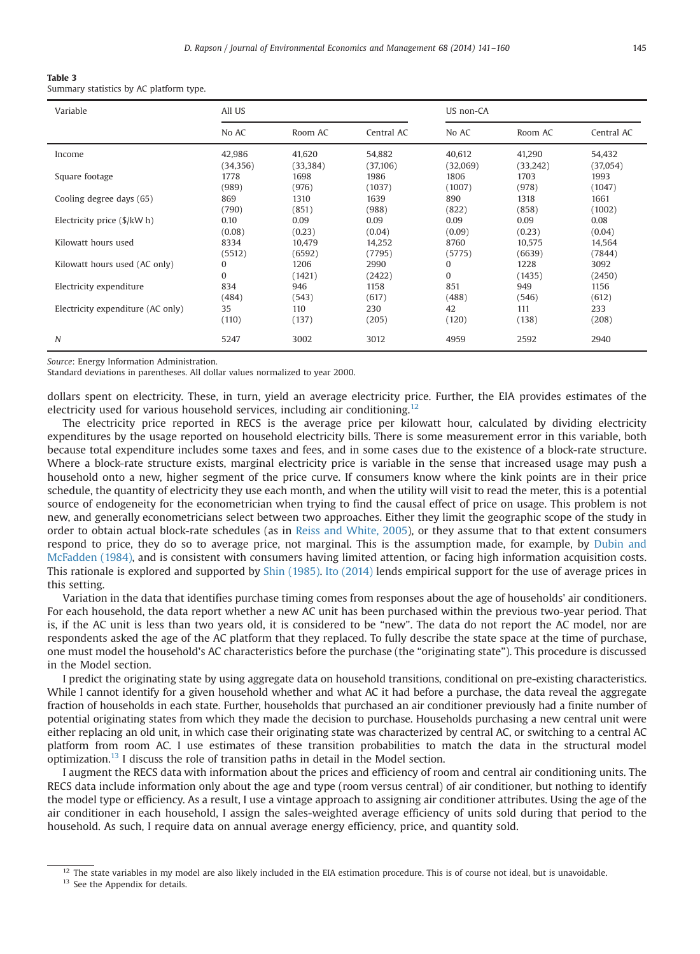<span id="page-4-0"></span>

| Table 3                                 |  |  |
|-----------------------------------------|--|--|
| Summary statistics by AC platform type. |  |  |

| Variable                          | All US    |           |            | US non-CA |          |            |
|-----------------------------------|-----------|-----------|------------|-----------|----------|------------|
|                                   | No AC     | Room AC   | Central AC | No AC     | Room AC  | Central AC |
| Income                            | 42,986    | 41,620    | 54,882     | 40,612    | 41,290   | 54,432     |
|                                   | (34, 356) | (33, 384) | (37,106)   | (32,069)  | (33,242) | (37,054)   |
| Square footage                    | 1778      | 1698      | 1986       | 1806      | 1703     | 1993       |
|                                   | (989)     | (976)     | (1037)     | (1007)    | (978)    | (1047)     |
| Cooling degree days (65)          | 869       | 1310      | 1639       | 890       | 1318     | 1661       |
|                                   | (790)     | (851)     | (988)      | (822)     | (858)    | (1002)     |
| Electricity price (\$/kW h)       | 0.10      | 0.09      | 0.09       | 0.09      | 0.09     | 0.08       |
|                                   | (0.08)    | (0.23)    | (0.04)     | (0.09)    | (0.23)   | (0.04)     |
| Kilowatt hours used               | 8334      | 10,479    | 14,252     | 8760      | 10,575   | 14,564     |
|                                   | (5512)    | (6592)    | (7795)     | (5775)    | (6639)   | (7844)     |
| Kilowatt hours used (AC only)     | 0         | 1206      | 2990       | 0         | 1228     | 3092       |
|                                   | $\Omega$  | (1421)    | (2422)     | $\Omega$  | (1435)   | (2450)     |
| Electricity expenditure           | 834       | 946       | 1158       | 851       | 949      | 1156       |
|                                   | (484)     | (543)     | (617)      | (488)     | (546)    | (612)      |
| Electricity expenditure (AC only) | 35        | 110       | 230        | 42        | 111      | 233        |
|                                   | (110)     | (137)     | (205)      | (120)     | (138)    | (208)      |
| N                                 | 5247      | 3002      | 3012       | 4959      | 2592     | 2940       |

Source: Energy Information Administration.

Standard deviations in parentheses. All dollar values normalized to year 2000.

dollars spent on electricity. These, in turn, yield an average electricity price. Further, the EIA provides estimates of the electricity used for various household services, including air conditioning.<sup>12</sup>

The electricity price reported in RECS is the average price per kilowatt hour, calculated by dividing electricity expenditures by the usage reported on household electricity bills. There is some measurement error in this variable, both because total expenditure includes some taxes and fees, and in some cases due to the existence of a block-rate structure. Where a block-rate structure exists, marginal electricity price is variable in the sense that increased usage may push a household onto a new, higher segment of the price curve. If consumers know where the kink points are in their price schedule, the quantity of electricity they use each month, and when the utility will visit to read the meter, this is a potential source of endogeneity for the econometrician when trying to find the causal effect of price on usage. This problem is not new, and generally econometricians select between two approaches. Either they limit the geographic scope of the study in order to obtain actual block-rate schedules (as in [Reiss and White, 2005](#page-19-0)), or they assume that to that extent consumers respond to price, they do so to average price, not marginal. This is the assumption made, for example, by [Dubin and](#page-19-0) [McFadden \(1984\),](#page-19-0) and is consistent with consumers having limited attention, or facing high information acquisition costs. This rationale is explored and supported by [Shin \(1985\).](#page-19-0) [Ito \(2014\)](#page-19-0) lends empirical support for the use of average prices in this setting.

Variation in the data that identifies purchase timing comes from responses about the age of households' air conditioners. For each household, the data report whether a new AC unit has been purchased within the previous two-year period. That is, if the AC unit is less than two years old, it is considered to be "new". The data do not report the AC model, nor are respondents asked the age of the AC platform that they replaced. To fully describe the state space at the time of purchase, one must model the household's AC characteristics before the purchase (the "originating state"). This procedure is discussed in the Model section.

I predict the originating state by using aggregate data on household transitions, conditional on pre-existing characteristics. While I cannot identify for a given household whether and what AC it had before a purchase, the data reveal the aggregate fraction of households in each state. Further, households that purchased an air conditioner previously had a finite number of potential originating states from which they made the decision to purchase. Households purchasing a new central unit were either replacing an old unit, in which case their originating state was characterized by central AC, or switching to a central AC platform from room AC. I use estimates of these transition probabilities to match the data in the structural model optimization.13 I discuss the role of transition paths in detail in the Model section.

I augment the RECS data with information about the prices and efficiency of room and central air conditioning units. The RECS data include information only about the age and type (room versus central) of air conditioner, but nothing to identify the model type or efficiency. As a result, I use a vintage approach to assigning air conditioner attributes. Using the age of the air conditioner in each household, I assign the sales-weighted average efficiency of units sold during that period to the household. As such, I require data on annual average energy efficiency, price, and quantity sold.

 $12$  The state variables in my model are also likely included in the EIA estimation procedure. This is of course not ideal, but is unavoidable.

<sup>&</sup>lt;sup>13</sup> See the Appendix for details.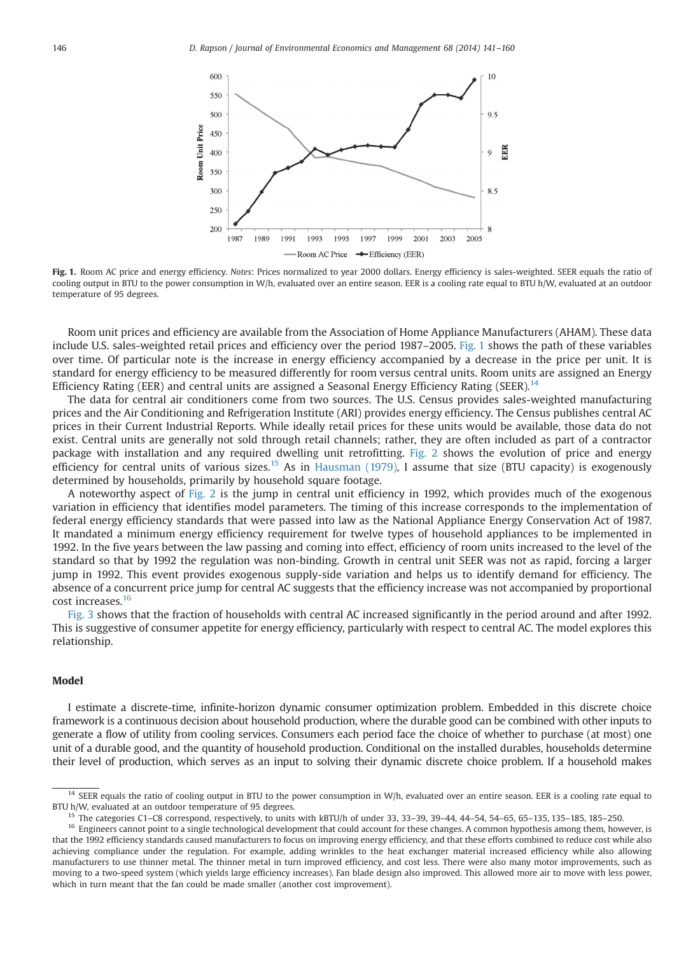<span id="page-5-0"></span>

Fig. 1. Room AC price and energy efficiency. Notes: Prices normalized to year 2000 dollars. Energy efficiency is sales-weighted. SEER equals the ratio of cooling output in BTU to the power consumption in W/h, evaluated over an entire season. EER is a cooling rate equal to BTU h/W, evaluated at an outdoor temperature of 95 degrees.

Room unit prices and efficiency are available from the Association of Home Appliance Manufacturers (AHAM). These data include U.S. sales-weighted retail prices and efficiency over the period 1987–2005. Fig. 1 shows the path of these variables over time. Of particular note is the increase in energy efficiency accompanied by a decrease in the price per unit. It is standard for energy efficiency to be measured differently for room versus central units. Room units are assigned an Energy Efficiency Rating (EER) and central units are assigned a Seasonal Energy Efficiency Rating (SEER).<sup>14</sup>

The data for central air conditioners come from two sources. The U.S. Census provides sales-weighted manufacturing prices and the Air Conditioning and Refrigeration Institute (ARI) provides energy efficiency. The Census publishes central AC prices in their Current Industrial Reports. While ideally retail prices for these units would be available, those data do not exist. Central units are generally not sold through retail channels; rather, they are often included as part of a contractor package with installation and any required dwelling unit retrofitting. [Fig. 2](#page-6-0) shows the evolution of price and energy efficiency for central units of various sizes.<sup>15</sup> As in [Hausman \(1979\),](#page-19-0) I assume that size (BTU capacity) is exogenously determined by households, primarily by household square footage.

A noteworthy aspect of [Fig. 2](#page-6-0) is the jump in central unit efficiency in 1992, which provides much of the exogenous variation in efficiency that identifies model parameters. The timing of this increase corresponds to the implementation of federal energy efficiency standards that were passed into law as the National Appliance Energy Conservation Act of 1987. It mandated a minimum energy efficiency requirement for twelve types of household appliances to be implemented in 1992. In the five years between the law passing and coming into effect, efficiency of room units increased to the level of the standard so that by 1992 the regulation was non-binding. Growth in central unit SEER was not as rapid, forcing a larger jump in 1992. This event provides exogenous supply-side variation and helps us to identify demand for efficiency. The absence of a concurrent price jump for central AC suggests that the efficiency increase was not accompanied by proportional cost increases.<sup>16</sup>

[Fig. 3](#page-6-0) shows that the fraction of households with central AC increased significantly in the period around and after 1992. This is suggestive of consumer appetite for energy efficiency, particularly with respect to central AC. The model explores this relationship.

## Model

I estimate a discrete-time, infinite-horizon dynamic consumer optimization problem. Embedded in this discrete choice framework is a continuous decision about household production, where the durable good can be combined with other inputs to generate a flow of utility from cooling services. Consumers each period face the choice of whether to purchase (at most) one unit of a durable good, and the quantity of household production. Conditional on the installed durables, households determine their level of production, which serves as an input to solving their dynamic discrete choice problem. If a household makes

<sup>&</sup>lt;sup>14</sup> SEER equals the ratio of cooling output in BTU to the power consumption in W/h, evaluated over an entire season. EER is a cooling rate equal to BTU h/W, evaluated at an outdoor temperature of 95 degrees.

<sup>15</sup> The categories C1–C8 correspond, respectively, to units with kBTU/h of under 33, 33–39, 39–44, 44–54, 54–65, 65–135, 135–185, 185–250.

<sup>&</sup>lt;sup>16</sup> Engineers cannot point to a single technological development that could account for these changes. A common hypothesis among them, however, is that the 1992 efficiency standards caused manufacturers to focus on improving energy efficiency, and that these efforts combined to reduce cost while also achieving compliance under the regulation. For example, adding wrinkles to the heat exchanger material increased efficiency while also allowing manufacturers to use thinner metal. The thinner metal in turn improved efficiency, and cost less. There were also many motor improvements, such as moving to a two-speed system (which yields large efficiency increases). Fan blade design also improved. This allowed more air to move with less power, which in turn meant that the fan could be made smaller (another cost improvement).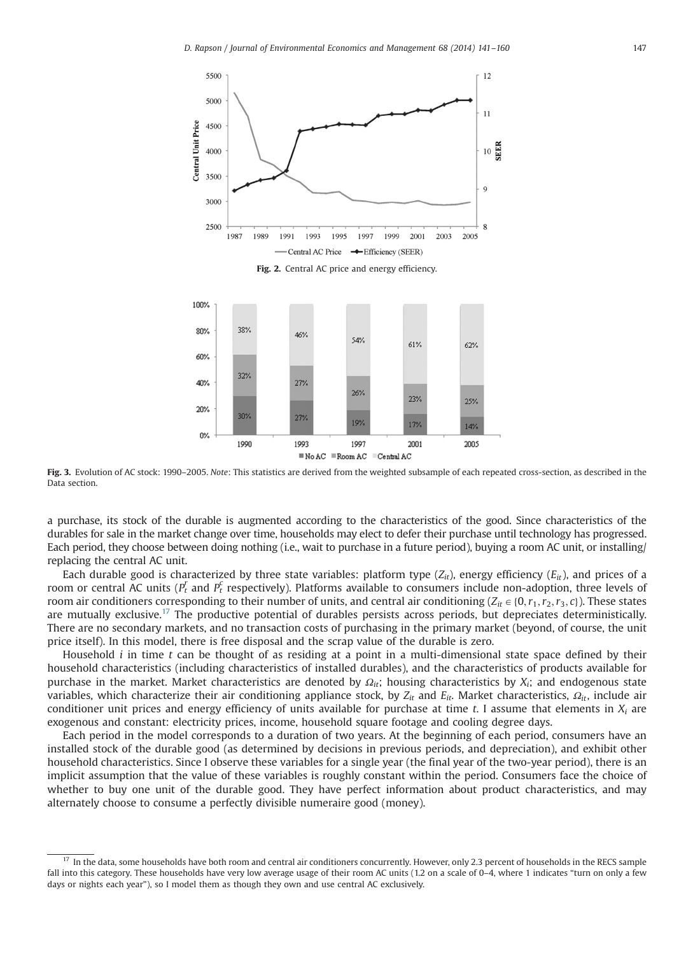<span id="page-6-0"></span>

Fig. 3. Evolution of AC stock: 1990-2005. Note: This statistics are derived from the weighted subsample of each repeated cross-section, as described in the Data section.

a purchase, its stock of the durable is augmented according to the characteristics of the good. Since characteristics of the durables for sale in the market change over time, households may elect to defer their purchase until technology has progressed. Each period, they choose between doing nothing (i.e., wait to purchase in a future period), buying a room AC unit, or installing/ replacing the central AC unit.

Each durable good is characterized by three state variables: platform type  $(Z_{it})$ , energy efficiency  $(E_{it})$ , and prices of a room or central AC units ( $P_t^r$  and  $P_t^c$  respectively). Platforms available to consumers include non-adoption, three levels of room air conditioners corresponding to their number of units, and central air conditioning  $(Z_{it} \in \{0, r_1, r_2, r_3, c\})$ . These states are mutually exclusive.<sup>17</sup> The productive potential of durables persists across periods, but depreciates deterministically. There are no secondary markets, and no transaction costs of purchasing in the primary market (beyond, of course, the unit price itself). In this model, there is free disposal and the scrap value of the durable is zero.

Household  $i$  in time  $t$  can be thought of as residing at a point in a multi-dimensional state space defined by their household characteristics (including characteristics of installed durables), and the characteristics of products available for purchase in the market. Market characteristics are denoted by  $\Omega_{it}$ ; housing characteristics by  $X_i$ ; and endogenous state variables, which characterize their air conditioning appliance stock, by  $Z_{it}$  and  $E_{it}$ . Market characteristics,  $Ω_{it}$ , include air conditioner unit prices and energy efficiency of units available for purchase at time t. I assume that elements in  $X_i$  are exogenous and constant: electricity prices, income, household square footage and cooling degree days.

Each period in the model corresponds to a duration of two years. At the beginning of each period, consumers have an installed stock of the durable good (as determined by decisions in previous periods, and depreciation), and exhibit other household characteristics. Since I observe these variables for a single year (the final year of the two-year period), there is an implicit assumption that the value of these variables is roughly constant within the period. Consumers face the choice of whether to buy one unit of the durable good. They have perfect information about product characteristics, and may alternately choose to consume a perfectly divisible numeraire good (money).

<sup>&</sup>lt;sup>17</sup> In the data, some households have both room and central air conditioners concurrently. However, only 2.3 percent of households in the RECS sample fall into this category. These households have very low average usage of their room AC units (1.2 on a scale of 0–4, where 1 indicates "turn on only a few days or nights each year"), so I model them as though they own and use central AC exclusively.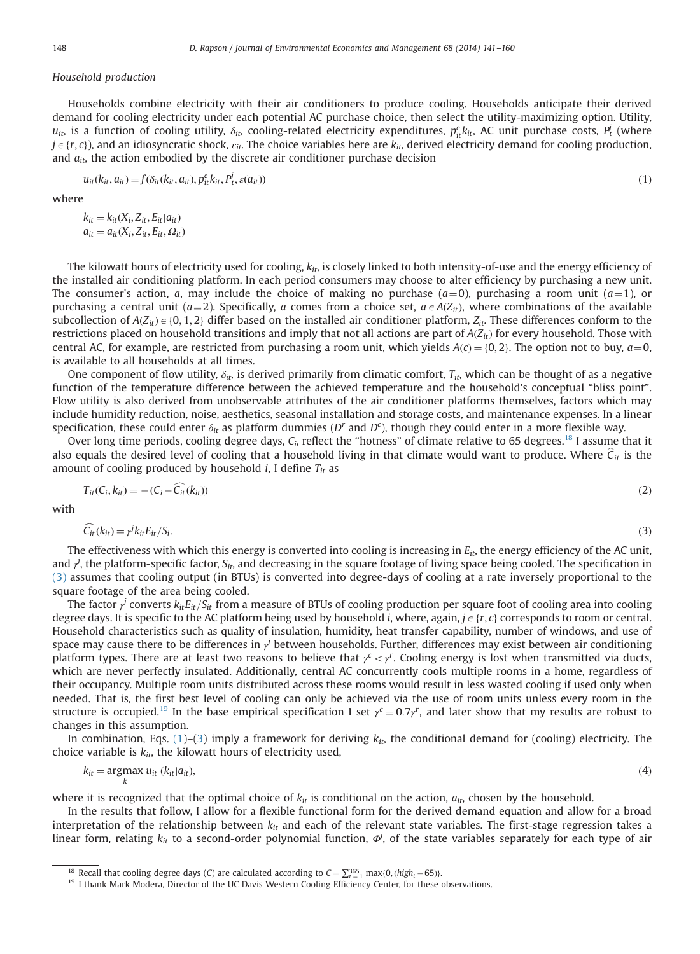#### Household production

Households combine electricity with their air conditioners to produce cooling. Households anticipate their derived demand for cooling electricity under each potential AC purchase choice, then select the utility-maximizing option. Utility,  $u_{it}$ , is a function of cooling utility,  $\delta_{it}$ , cooling-related electricity expenditures,  $p_{it}^e k_{it}$ , AC unit purchase costs,  $P_t^i$  (where  $j \in \{r, c\}$ , and an idiosyncratic shock,  $\varepsilon_{it}$ . The choice variables here are  $k_{it}$  derived electricity demand for cooling production, and  $a_{it}$ , the action embodied by the discrete air conditioner purchase decision

$$
u_{it}(k_{it}, a_{it}) = f(\delta_{it}(k_{it}, a_{it}), p_{it}^e k_{it}, P_{t}^j, \varepsilon(a_{it}))
$$
\n
$$
\tag{1}
$$

where

$$
k_{it} = k_{it}(X_i, Z_{it}, E_{it} | a_{it})
$$
  

$$
a_{it} = a_{it}(X_i, Z_{it}, E_{it}, \Omega_{it})
$$

The kilowatt hours of electricity used for cooling,  $k_{it}$ , is closely linked to both intensity-of-use and the energy efficiency of the installed air conditioning platform. In each period consumers may choose to alter efficiency by purchasing a new unit. The consumer's action, a, may include the choice of making no purchase  $(a=0)$ , purchasing a room unit  $(a=1)$ , or purchasing a central unit (a=2). Specifically, a comes from a choice set,  $a \in A(Z_{it})$ , where combinations of the available subcollection of  $A(Z_{it}) \in \{0, 1, 2\}$  differ based on the installed air conditioner platform,  $Z_{it}$ . These differences conform to the restrictions placed on household transitions and imply that not all actions are part of  $A(Z_i)$  for every household. Those with central AC, for example, are restricted from purchasing a room unit, which yields  $A(c) = \{0, 2\}$ . The option not to buy,  $a=0$ , is available to all households at all times.

One component of flow utility,  $\delta_{it}$ , is derived primarily from climatic comfort,  $T_{it}$ , which can be thought of as a negative function of the temperature difference between the achieved temperature and the household's conceptual "bliss point". Flow utility is also derived from unobservable attributes of the air conditioner platforms themselves, factors which may include humidity reduction, noise, aesthetics, seasonal installation and storage costs, and maintenance expenses. In a linear specification, these could enter  $\delta_{it}$  as platform dummies (D<sup>r</sup> and D<sup>c</sup>), though they could enter in a more flexible way.

Over long time periods, cooling degree days,  $C_i$ , reflect the "hotness" of climate relative to 65 degrees.<sup>18</sup> I assume that it also equals the desired level of cooling that a household living in that climate would want to produce. Where  $C_{it}$  is the amount of cooling produced by household  $i$ , I define  $T_{it}$  as

$$
T_{it}(C_i, k_{it}) = -\left(C_i - \widehat{C_{it}}(k_{it})\right) \tag{2}
$$

with

$$
\widehat{C}_{it}(k_{it}) = r^j k_{it} E_{it}/S_i. \tag{3}
$$

The effectiveness with which this energy is converted into cooling is increasing in  $E_{it}$ , the energy efficiency of the AC unit, and  $\gamma^j$ , the platform-specific factor,  $S_{it}$ , and decreasing in the square footage of living space being cooled. The specification in (3) assumes that cooling output (in BTUs) is converted into degree-days of cooling at a rate inversely proportional to the square footage of the area being cooled.

The factor  $\gamma^j$  converts  $k_{it}E_{it}/S_{it}$  from a measure of BTUs of cooling production per square foot of cooling area into cooling degree days. It is specific to the AC platform being used by household *i*, where, again,  $j \in \{r, c\}$  corresponds to room or central. Household characteristics such as quality of insulation, humidity, heat transfer capability, number of windows, and use of space may cause there to be differences in γ<sup>*i*</sup> between households. Further, differences may exist between air conditioning platform types. There are at least two reasons to believe that  $\gamma^c < \gamma^r$ . Cooling energy is lost when transmitted via ducts, which are never perfectly insulated. Additionally, central AC concurrently cools multiple rooms in a home, regardless of their occupancy. Multiple room units distributed across these rooms would result in less wasted cooling if used only when needed. That is, the first best level of cooling can only be achieved via the use of room units unless every room in the structure is occupied.<sup>19</sup> In the base empirical specification I set  $\gamma^c = 0.7\gamma^r$ , and later show that my results are robust to changes in this assumption changes in this assumption.

In combination, Eqs. (1)–(3) imply a framework for deriving  $k_{it}$ , the conditional demand for (cooling) electricity. The choice variable is  $k_{it}$ , the kilowatt hours of electricity used,

$$
k_{it} = \underset{k}{\text{argmax}} \, u_{it} \, (k_{it} | a_{it}), \tag{4}
$$

where it is recognized that the optimal choice of  $k_{it}$  is conditional on the action,  $a_{it}$ , chosen by the household.

In the results that follow, I allow for a flexible functional form for the derived demand equation and allow for a broad interpretation of the relationship between  $k_{it}$  and each of the relevant state variables. The first-stage regression takes a linear form, relating  $k_{it}$  to a second-order polynomial function,  $\phi^j$ , of the state variables separately for each type of air

<sup>&</sup>lt;sup>18</sup> Recall that cooling degree days (C) are calculated according to  $C = \sum_{t=1}^{365}$  max{0, (high<sub>t</sub> – 65)}.

<sup>&</sup>lt;sup>19</sup> I thank Mark Modera, Director of the UC Davis Western Cooling Efficiency Center, for these observations.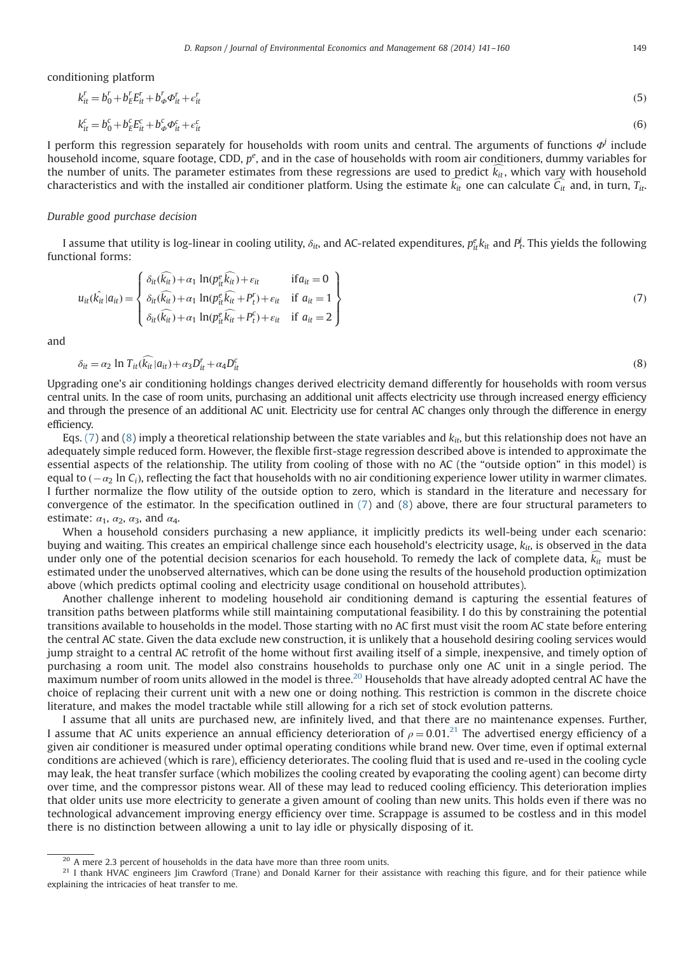<span id="page-8-0"></span>conditioning platform

$$
k_{it}^{c} = b_{0}^{r} + b_{E}^{r} E_{it}^{r} + b_{\phi}^{r} \varphi_{it}^{r} + \epsilon_{it}^{r}
$$
  
\n
$$
k_{it}^{c} = b_{0}^{c} + b_{E}^{c} E_{it}^{c} + b_{\phi}^{c} \varphi_{it}^{c} + \epsilon_{it}^{c}
$$
  
\n(6)

I perform this regression separately for households with room units and central. The arguments of functions  $\phi^j$  include household income, square footage, CDD,  $p^e$ , and in the case of households with room air conditioners, dummy variables for the number of units. The parameter estimates from these regressions are used to  $p$ redict  $k_{it}$ , which vary with household characteristics and with the installed air conditioner platform. Using the estimate  $k_{it}$  one can calculate  $C_{it}$  and, in turn,  $T_{it}$ 

#### Durable good purchase decision

I assume that utility is log-linear in cooling utility,  $\delta_{it}$ , and AC-related expenditures,  $p_{it}^e k_{it}$  and  $P_t$ . This yields the following functional forms:

$$
u_{it}(\hat{k}_{it} | a_{it}) = \begin{cases} \delta_{it}(\widehat{k_{it}}) + \alpha_1 \ln(p_{it}^e \widehat{k_{it}}) + \varepsilon_{it} & \text{if } a_{it} = 0\\ \delta_{it}(\widehat{k_{it}}) + \alpha_1 \ln(p_{it}^e \widehat{k_{it}} + P_t^r) + \varepsilon_{it} & \text{if } a_{it} = 1\\ \delta_{it}(\widehat{k_{it}}) + \alpha_1 \ln(p_{it}^e \widehat{k_{it}} + P_t^c) + \varepsilon_{it} & \text{if } a_{it} = 2 \end{cases}
$$
(7)

and

$$
\delta_{it} = \alpha_2 \ln T_{it} (\tilde{k}_{it} | a_{it}) + \alpha_3 D_{it}^r + \alpha_4 D_{it}^c \tag{8}
$$

Upgrading one's air conditioning holdings changes derived electricity demand differently for households with room versus central units. In the case of room units, purchasing an additional unit affects electricity use through increased energy efficiency and through the presence of an additional AC unit. Electricity use for central AC changes only through the difference in energy efficiency.

Eqs. (7) and (8) imply a theoretical relationship between the state variables and  $k_{it}$ , but this relationship does not have an adequately simple reduced form. However, the flexible first-stage regression described above is intended to approximate the essential aspects of the relationship. The utility from cooling of those with no AC (the "outside option" in this model) is equal to  $(-\alpha_2 \ln C_i)$ , reflecting the fact that households with no air conditioning experience lower utility in warmer climates. I further normalize the flow utility of the outside option to zero, which is standard in the literature and necessary for convergence of the estimator. In the specification outlined in (7) and (8) above, there are four structural parameters to estimate:  $\alpha_1$ ,  $\alpha_2$ ,  $\alpha_3$ , and  $\alpha_4$ .

When a household considers purchasing a new appliance, it implicitly predicts its well-being under each scenario: buying and waiting. This creates an empirical challenge since each household's electricity usage,  $k_{it}$ , is observed in the data under only one of the potential decision scenarios for each household. To remedy the lack of complete data,  $k_{it}$  must be estimated under the unobserved alternatives, which can be done using the results of the household production optimization above (which predicts optimal cooling and electricity usage conditional on household attributes).

Another challenge inherent to modeling household air conditioning demand is capturing the essential features of transition paths between platforms while still maintaining computational feasibility. I do this by constraining the potential transitions available to households in the model. Those starting with no AC first must visit the room AC state before entering the central AC state. Given the data exclude new construction, it is unlikely that a household desiring cooling services would jump straight to a central AC retrofit of the home without first availing itself of a simple, inexpensive, and timely option of purchasing a room unit. The model also constrains households to purchase only one AC unit in a single period. The maximum number of room units allowed in the model is three.<sup>20</sup> Households that have already adopted central AC have the choice of replacing their current unit with a new one or doing nothing. This restriction is common in the discrete choice literature, and makes the model tractable while still allowing for a rich set of stock evolution patterns.

I assume that all units are purchased new, are infinitely lived, and that there are no maintenance expenses. Further, I assume that AC units experience an annual efficiency deterioration of  $\rho = 0.01$ .<sup>21</sup> The advertised energy efficiency of a given air conditioner is measured under optimal operating conditions while brand new. Over time, even if optimal external conditions are achieved (which is rare), efficiency deteriorates. The cooling fluid that is used and re-used in the cooling cycle may leak, the heat transfer surface (which mobilizes the cooling created by evaporating the cooling agent) can become dirty over time, and the compressor pistons wear. All of these may lead to reduced cooling efficiency. This deterioration implies that older units use more electricity to generate a given amount of cooling than new units. This holds even if there was no technological advancement improving energy efficiency over time. Scrappage is assumed to be costless and in this model there is no distinction between allowing a unit to lay idle or physically disposing of it.

<sup>&</sup>lt;sup>20</sup> A mere 2.3 percent of households in the data have more than three room units.

 $^{21}$  I thank HVAC engineers Jim Crawford (Trane) and Donald Karner for their assistance with reaching this figure, and for their patience while explaining the intricacies of heat transfer to me.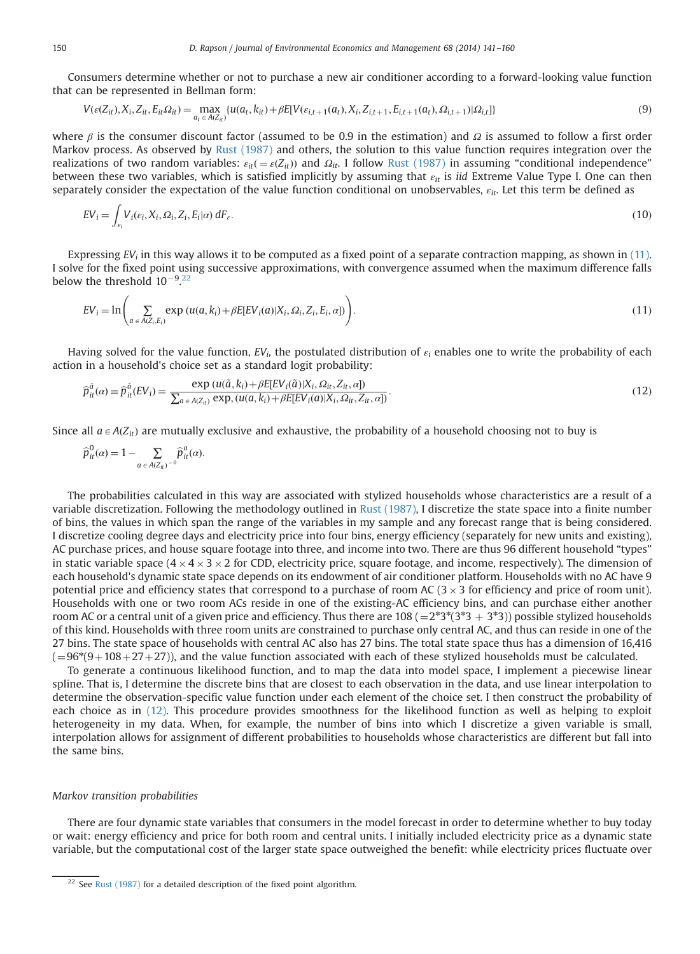<span id="page-9-0"></span>Consumers determine whether or not to purchase a new air conditioner according to a forward-looking value function that can be represented in Bellman form:

$$
V(\varepsilon(Z_{it}), X_i, Z_{it}, E_{it}\Omega_{it}) = \max_{a_t \in A(Z_{it})} \{ u(a_t, k_{it}) + \beta E[V(\varepsilon_{i,t+1}(a_t), X_i, Z_{i,t+1}, E_{i,t+1}(a_t), \Omega_{i,t+1}) | \Omega_{i,t} ] \}
$$
(9)

where  $\beta$  is the consumer discount factor (assumed to be 0.9 in the estimation) and  $\Omega$  is assumed to follow a first order Markov process. As observed by [Rust \(1987\)](#page-19-0) and others, the solution to this value function requires integration over the realizations of two random variables:  $\varepsilon_{it} = \varepsilon(Z_{it})$  and  $\Omega_{it}$ . I follow [Rust \(1987\)](#page-19-0) in assuming "conditional independence" between these two variables, which is satisfied implicitly by assuming that  $\varepsilon_{it}$  is iid Extreme Value Type I. One can then separately consider the expectation of the value function conditional on unobservables,  $\varepsilon_{ir}$ . Let this term be defined as

$$
EV_i = \int_{\varepsilon_i} V_i(\varepsilon_i, X_i, \Omega_i, Z_i, E_i | \alpha) dF_{\varepsilon}.
$$
\n(10)

Expressing EV<sub>i</sub> in this way allows it to be computed as a fixed point of a separate contraction mapping, as shown in (11). I solve for the fixed point using successive approximations, with convergence assumed when the maximum difference falls below the threshold  $10^{-9}$ <sup>22</sup>

$$
EV_i = \ln\left(\sum_{a \in A(Z_i, E_i)} \exp(u(a, k_i) + \beta E[EV_i(a)|X_i, \Omega_i, Z_i, E_i, \alpha])\right).
$$
\n(11)

Having solved for the value function,  $EV_i$ , the postulated distribution of  $\varepsilon_i$  enables one to write the probability of each action in a household's choice set as a standard logit probability:

$$
\widehat{p}_{it}^{\tilde{a}}(\alpha) \equiv \widehat{p}_{it}^{\tilde{a}}(EV_{i}) = \frac{\exp(u(\tilde{a}, k_{i}) + \beta E[EV_{i}(\tilde{a})|X_{i}, \Omega_{it}, Z_{it}, \alpha])}{\sum_{a \in A(Z_{it})} \exp(u(a, k_{i}) + \beta E[EV_{i}(a)|X_{i}, \Omega_{it}, Z_{it}, \alpha])}.
$$
\n(12)

Since all  $a \in A(Z_{it})$  are mutually exclusive and exhaustive, the probability of a household choosing not to buy is

$$
\widehat{p}_{it}^0(\alpha) = 1 - \sum_{a \in A(Z_{it})^{-0}} \widehat{p}_{it}^a(\alpha).
$$

The probabilities calculated in this way are associated with stylized households whose characteristics are a result of a variable discretization. Following the methodology outlined in [Rust \(1987\),](#page-19-0) I discretize the state space into a finite number of bins, the values in which span the range of the variables in my sample and any forecast range that is being considered. I discretize cooling degree days and electricity price into four bins, energy efficiency (separately for new units and existing), AC purchase prices, and house square footage into three, and income into two. There are thus 96 different household "types" in static variable space  $(4 \times 4 \times 3 \times 2$  for CDD, electricity price, square footage, and income, respectively). The dimension of each household's dynamic state space depends on its endowment of air conditioner platform. Households with no AC have 9 potential price and efficiency states that correspond to a purchase of room AC  $(3 \times 3$  for efficiency and price of room unit). Households with one or two room ACs reside in one of the existing-AC efficiency bins, and can purchase either another room AC or a central unit of a given price and efficiency. Thus there are  $108 (=2^*3^*(3^*3 + 3^*3))$  possible stylized households<br>of this kind. Households with three room units are constrained to purchase only central AC, an of this kind. Households with three room units are constrained to purchase only central AC, and thus can reside in one of the 27 bins. The state space of households with central AC also has 27 bins. The total state space thus has a dimension of 16,416  $(=96*(9+108+27+27))$ , and the value function associated with each of these stylized households must be calculated.<br>To generate a continuous likelihood function, and to man the data into model space. Limplement a piecewise

To generate a continuous likelihood function, and to map the data into model space, I implement a piecewise linear spline. That is, I determine the discrete bins that are closest to each observation in the data, and use linear interpolation to determine the observation-specific value function under each element of the choice set. I then construct the probability of each choice as in (12). This procedure provides smoothness for the likelihood function as well as helping to exploit heterogeneity in my data. When, for example, the number of bins into which I discretize a given variable is small, interpolation allows for assignment of different probabilities to households whose characteristics are different but fall into the same bins.

#### Markov transition probabilities

There are four dynamic state variables that consumers in the model forecast in order to determine whether to buy today or wait: energy efficiency and price for both room and central units. I initially included electricity price as a dynamic state variable, but the computational cost of the larger state space outweighed the benefit: while electricity prices fluctuate over

<sup>&</sup>lt;sup>22</sup> See [Rust \(1987\)](#page-19-0) for a detailed description of the fixed point algorithm.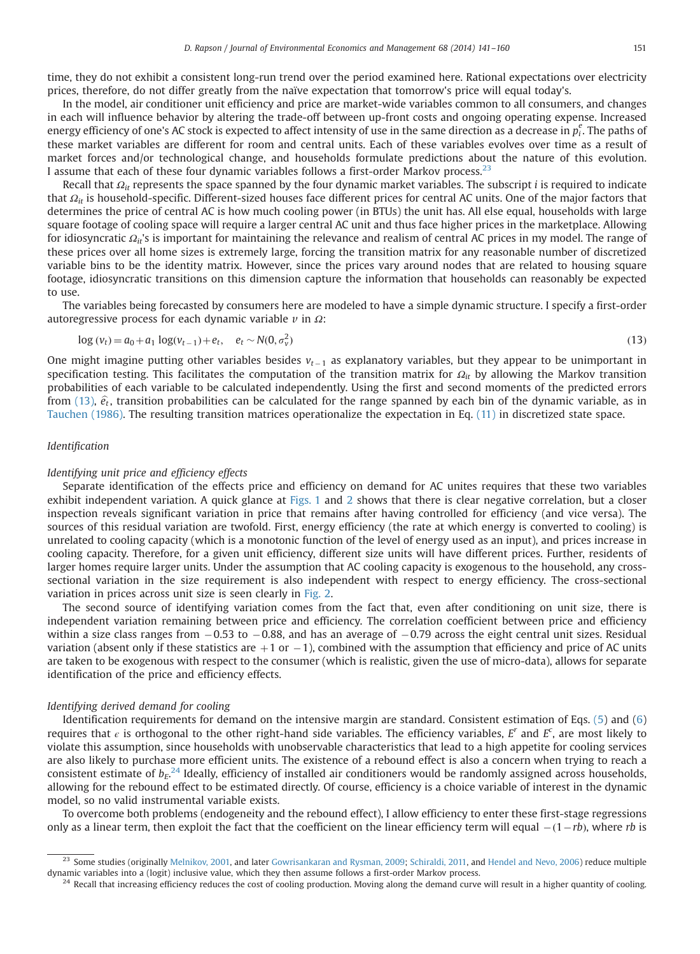<span id="page-10-0"></span>time, they do not exhibit a consistent long-run trend over the period examined here. Rational expectations over electricity prices, therefore, do not differ greatly from the naïve expectation that tomorrow's price will equal today's.

In the model, air conditioner unit efficiency and price are market-wide variables common to all consumers, and changes in each will influence behavior by altering the trade-off between up-front costs and ongoing operating expense. Increased energy efficiency of one's AC stock is expected to affect intensity of use in the same direction as a decrease in  $p_i^e$ . The paths of these market variables are different for room and central units. Each of these variables evolves over time as a result of market forces and/or technological change, and households formulate predictions about the nature of this evolution. I assume that each of these four dynamic variables follows a first-order Markov process.<sup>23</sup>

Recall that  $\Omega_{it}$  represents the space spanned by the four dynamic market variables. The subscript *i* is required to indicate that  $\Omega_{it}$  is household-specific. Different-sized houses face different prices for central AC units. One of the major factors that determines the price of central AC is how much cooling power (in BTUs) the unit has. All else equal, households with large square footage of cooling space will require a larger central AC unit and thus face higher prices in the marketplace. Allowing for idiosyncratic  $Q_i$ 's is important for maintaining the relevance and realism of central AC prices in my model. The range of these prices over all home sizes is extremely large, forcing the transition matrix for any reasonable number of discretized variable bins to be the identity matrix. However, since the prices vary around nodes that are related to housing square footage, idiosyncratic transitions on this dimension capture the information that households can reasonably be expected to use.

The variables being forecasted by consumers here are modeled to have a simple dynamic structure. I specify a first-order autoregressive process for each dynamic variable  $\nu$  in  $\Omega$ :

$$
\log(v_t) = a_0 + a_1 \log(v_{t-1}) + e_t, \quad e_t \sim N(0, \sigma_v^2)
$$
\n(13)

One might imagine putting other variables besides  $v_{t-1}$  as explanatory variables, but they appear to be unimportant in specification testing. This facilitates the computation of the transition matrix for  $\Omega_{it}$  by allowing the Markov transition probabilities of each variable to be calculated independently. Using the first and second moments of the predicted errors from (13),  $\hat{e}_t$ , transition probabilities can be calculated for the range spanned by each bin of the dynamic variable, as in [Tauchen \(1986\).](#page-19-0) The resulting transition matrices operationalize the expectation in Eq. [\(11\)](#page-9-0) in discretized state space.

#### Identification

#### Identifying unit price and efficiency effects

Separate identification of the effects price and efficiency on demand for AC unites requires that these two variables exhibit independent variation. A quick glance at [Figs. 1](#page-5-0) and [2](#page-6-0) shows that there is clear negative correlation, but a closer inspection reveals significant variation in price that remains after having controlled for efficiency (and vice versa). The sources of this residual variation are twofold. First, energy efficiency (the rate at which energy is converted to cooling) is unrelated to cooling capacity (which is a monotonic function of the level of energy used as an input), and prices increase in cooling capacity. Therefore, for a given unit efficiency, different size units will have different prices. Further, residents of larger homes require larger units. Under the assumption that AC cooling capacity is exogenous to the household, any crosssectional variation in the size requirement is also independent with respect to energy efficiency. The cross-sectional variation in prices across unit size is seen clearly in [Fig. 2](#page-6-0).

The second source of identifying variation comes from the fact that, even after conditioning on unit size, there is independent variation remaining between price and efficiency. The correlation coefficient between price and efficiency within a size class ranges from  $-0.53$  to  $-0.88$ , and has an average of  $-0.79$  across the eight central unit sizes. Residual variation (absent only if these statistics are  $+1$  or  $-1$ ), combined with the assumption that efficiency and price of AC units are taken to be exogenous with respect to the consumer (which is realistic, given the use of micro-data), allows for separate identification of the price and efficiency effects.

#### Identifying derived demand for cooling

Identification requirements for demand on the intensive margin are standard. Consistent estimation of Eqs. [\(5\)](#page-8-0) and [\(6](#page-8-0)) requires that  $\epsilon$  is orthogonal to the other right-hand side variables. The efficiency variables,  $E^r$  and  $E^c$ , are most likely to violate this assumption, since households with unobservable characteristics that lead to a high appetite for cooling services are also likely to purchase more efficient units. The existence of a rebound effect is also a concern when trying to reach a consistent estimate of  $b_E$ . $^{24}$  Ideally, efficiency of installed air conditioners would be randomly assigned across households, allowing for the rebound effect to be estimated directly. Of course, efficiency is a choice variable of interest in the dynamic model, so no valid instrumental variable exists.

To overcome both problems (endogeneity and the rebound effect), I allow efficiency to enter these first-stage regressions only as a linear term, then exploit the fact that the coefficient on the linear efficiency term will equal  $-(1-rb)$ , where rb is

<sup>&</sup>lt;sup>23</sup> Some studies (originally [Melnikov, 2001,](#page-19-0) and later [Gowrisankaran and Rysman, 2009;](#page-19-0) [Schiraldi, 2011](#page-19-0), and [Hendel and Nevo, 2006\)](#page-19-0) reduce multiple dynamic variables into a (logit) inclusive value, which they then assume follows a first-order Markov process.

 $^{24}$  Recall that increasing efficiency reduces the cost of cooling production. Moving along the demand curve will result in a higher quantity of cooling.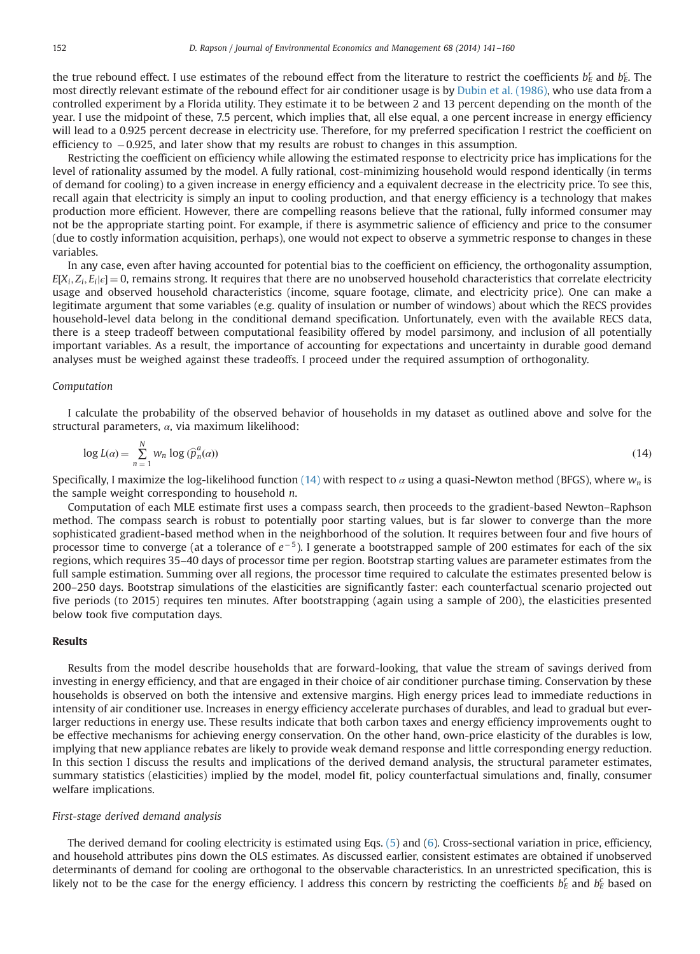the true rebound effect. I use estimates of the rebound effect from the literature to restrict the coefficients  $b_E^r$  and  $b_E^c$ . The most directly relevant estimate of the rebound effect for air conditioner usage is by [Dubin et al. \(1986\),](#page-19-0) who use data from a controlled experiment by a Florida utility. They estimate it to be between 2 and 13 percent depending on the month of the year. I use the midpoint of these, 7.5 percent, which implies that, all else equal, a one percent increase in energy efficiency will lead to a 0.925 percent decrease in electricity use. Therefore, for my preferred specification I restrict the coefficient on efficiency to  $-0.925$ , and later show that my results are robust to changes in this assumption.

Restricting the coefficient on efficiency while allowing the estimated response to electricity price has implications for the level of rationality assumed by the model. A fully rational, cost-minimizing household would respond identically (in terms of demand for cooling) to a given increase in energy efficiency and a equivalent decrease in the electricity price. To see this, recall again that electricity is simply an input to cooling production, and that energy efficiency is a technology that makes production more efficient. However, there are compelling reasons believe that the rational, fully informed consumer may not be the appropriate starting point. For example, if there is asymmetric salience of efficiency and price to the consumer (due to costly information acquisition, perhaps), one would not expect to observe a symmetric response to changes in these variables.

In any case, even after having accounted for potential bias to the coefficient on efficiency, the orthogonality assumption,  $E[X_i, Z_i, E_i | \epsilon] = 0$ , remains strong. It requires that there are no unobserved household characteristics that correlate electricity usage and observed household characteristics (income, square footage, climate, and electricity price). One can make a legitimate argument that some variables (e.g. quality of insulation or number of windows) about which the RECS provides household-level data belong in the conditional demand specification. Unfortunately, even with the available RECS data, there is a steep tradeoff between computational feasibility offered by model parsimony, and inclusion of all potentially important variables. As a result, the importance of accounting for expectations and uncertainty in durable good demand analyses must be weighed against these tradeoffs. I proceed under the required assumption of orthogonality.

#### Computation

I calculate the probability of the observed behavior of households in my dataset as outlined above and solve for the structural parameters,  $\alpha$ , via maximum likelihood:

$$
\log L(\alpha) = \sum_{n=1}^{N} w_n \log \left( \widehat{p}_n^a(\alpha) \right) \tag{14}
$$

Specifically, I maximize the log-likelihood function (14) with respect to  $\alpha$  using a quasi-Newton method (BFGS), where  $w_n$  is the sample weight corresponding to household  $n$ .

Computation of each MLE estimate first uses a compass search, then proceeds to the gradient-based Newton–Raphson method. The compass search is robust to potentially poor starting values, but is far slower to converge than the more sophisticated gradient-based method when in the neighborhood of the solution. It requires between four and five hours of processor time to converge (at a tolerance of  $e^{-5}$ ). I generate a bootstrapped sample of 200 estimates for each of the six regions, which requires 35–40 days of processor time per region. Bootstrap starting values are parameter estimates from the full sample estimation. Summing over all regions, the processor time required to calculate the estimates presented below is 200–250 days. Bootstrap simulations of the elasticities are significantly faster: each counterfactual scenario projected out five periods (to 2015) requires ten minutes. After bootstrapping (again using a sample of 200), the elasticities presented below took five computation days.

#### Results

Results from the model describe households that are forward-looking, that value the stream of savings derived from investing in energy efficiency, and that are engaged in their choice of air conditioner purchase timing. Conservation by these households is observed on both the intensive and extensive margins. High energy prices lead to immediate reductions in intensity of air conditioner use. Increases in energy efficiency accelerate purchases of durables, and lead to gradual but everlarger reductions in energy use. These results indicate that both carbon taxes and energy efficiency improvements ought to be effective mechanisms for achieving energy conservation. On the other hand, own-price elasticity of the durables is low, implying that new appliance rebates are likely to provide weak demand response and little corresponding energy reduction. In this section I discuss the results and implications of the derived demand analysis, the structural parameter estimates, summary statistics (elasticities) implied by the model, model fit, policy counterfactual simulations and, finally, consumer welfare implications.

#### First-stage derived demand analysis

The derived demand for cooling electricity is estimated using Eqs. [\(5\)](#page-8-0) and ([6](#page-8-0)). Cross-sectional variation in price, efficiency, and household attributes pins down the OLS estimates. As discussed earlier, consistent estimates are obtained if unobserved determinants of demand for cooling are orthogonal to the observable characteristics. In an unrestricted specification, this is likely not to be the case for the energy efficiency. I address this concern by restricting the coefficients  $b_E^r$  and  $b_E^c$  based on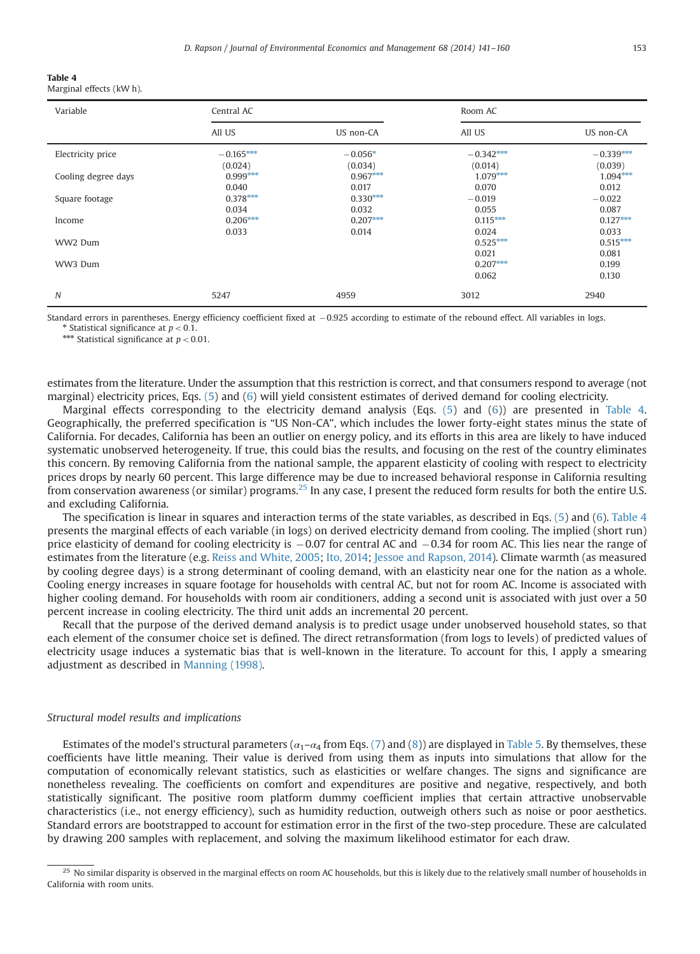| ---- | $\sim$ |  |
|------|--------|--|
|      |        |  |

Marginal effects (kW h).

| Variable            | Central AC             |                      | Room AC                |                        |
|---------------------|------------------------|----------------------|------------------------|------------------------|
|                     | All US                 | US non-CA            | All US                 | US non-CA              |
| Electricity price   | $-0.165***$<br>(0.024) | $-0.056*$<br>(0.034) | $-0.342***$<br>(0.014) | $-0.339***$<br>(0.039) |
| Cooling degree days | $0.999***$<br>0.040    | $0.967***$<br>0.017  | $1.079***$<br>0.070    | $1.094***$<br>0.012    |
| Square footage      | $0.378***$<br>0.034    | $0.330***$<br>0.032  | $-0.019$<br>0.055      | $-0.022$<br>0.087      |
| Income              | $0.206***$<br>0.033    | $0.207***$<br>0.014  | $0.115***$<br>0.024    | $0.127***$<br>0.033    |
| WW2 Dum             |                        |                      | $0.525***$<br>0.021    | $0.515***$<br>0.081    |
| WW3 Dum             |                        |                      | $0.207***$<br>0.062    | 0.199<br>0.130         |
| N                   | 5247                   | 4959                 | 3012                   | 2940                   |

Standard errors in parentheses. Energy efficiency coefficient fixed at  $-0.925$  according to estimate of the rebound effect. All variables in logs.<br>\*Statistical significance at  $p < 0.01$ .<br>\*\*\* Statistical significance at

estimates from the literature. Under the assumption that this restriction is correct, and that consumers respond to average (not marginal) electricity prices, Eqs. [\(5\)](#page-8-0) and [\(6\)](#page-8-0) will yield consistent estimates of derived demand for cooling electricity.

Marginal effects corresponding to the electricity demand analysis (Eqs. [\(5](#page-8-0)) and ([6\)](#page-8-0)) are presented in Table 4. Geographically, the preferred specification is "US Non-CA", which includes the lower forty-eight states minus the state of California. For decades, California has been an outlier on energy policy, and its efforts in this area are likely to have induced systematic unobserved heterogeneity. If true, this could bias the results, and focusing on the rest of the country eliminates this concern. By removing California from the national sample, the apparent elasticity of cooling with respect to electricity prices drops by nearly 60 percent. This large difference may be due to increased behavioral response in California resulting from conservation awareness (or similar) programs.<sup>25</sup> In any case, I present the reduced form results for both the entire U.S. and excluding California.

The specification is linear in squares and interaction terms of the state variables, as described in Eqs. [\(5](#page-8-0)) and [\(6\)](#page-8-0). Table 4 presents the marginal effects of each variable (in logs) on derived electricity demand from cooling. The implied (short run) price elasticity of demand for cooling electricity is  $-0.07$  for central AC and  $-0.34$  for room AC. This lies near the range of estimates from the literature (e.g. [Reiss and White, 2005;](#page-19-0) [Ito, 2014](#page-19-0); [Jessoe and Rapson, 2014\)](#page-19-0). Climate warmth (as measured by cooling degree days) is a strong determinant of cooling demand, with an elasticity near one for the nation as a whole. Cooling energy increases in square footage for households with central AC, but not for room AC. Income is associated with higher cooling demand. For households with room air conditioners, adding a second unit is associated with just over a 50 percent increase in cooling electricity. The third unit adds an incremental 20 percent.

Recall that the purpose of the derived demand analysis is to predict usage under unobserved household states, so that each element of the consumer choice set is defined. The direct retransformation (from logs to levels) of predicted values of electricity usage induces a systematic bias that is well-known in the literature. To account for this, I apply a smearing adjustment as described in [Manning \(1998\).](#page-19-0)

#### Structural model results and implications

Estimates of the model's structural parameters ( $\alpha_1-\alpha_4$  from Eqs. [\(7\)](#page-8-0) and ([8](#page-8-0))) are displayed in [Table 5](#page-13-0). By themselves, these coefficients have little meaning. Their value is derived from using them as inputs into simulations that allow for the computation of economically relevant statistics, such as elasticities or welfare changes. The signs and significance are nonetheless revealing. The coefficients on comfort and expenditures are positive and negative, respectively, and both statistically significant. The positive room platform dummy coefficient implies that certain attractive unobservable characteristics (i.e., not energy efficiency), such as humidity reduction, outweigh others such as noise or poor aesthetics. Standard errors are bootstrapped to account for estimation error in the first of the two-step procedure. These are calculated by drawing 200 samples with replacement, and solving the maximum likelihood estimator for each draw.

<sup>&</sup>lt;sup>25</sup> No similar disparity is observed in the marginal effects on room AC households, but this is likely due to the relatively small number of households in California with room units.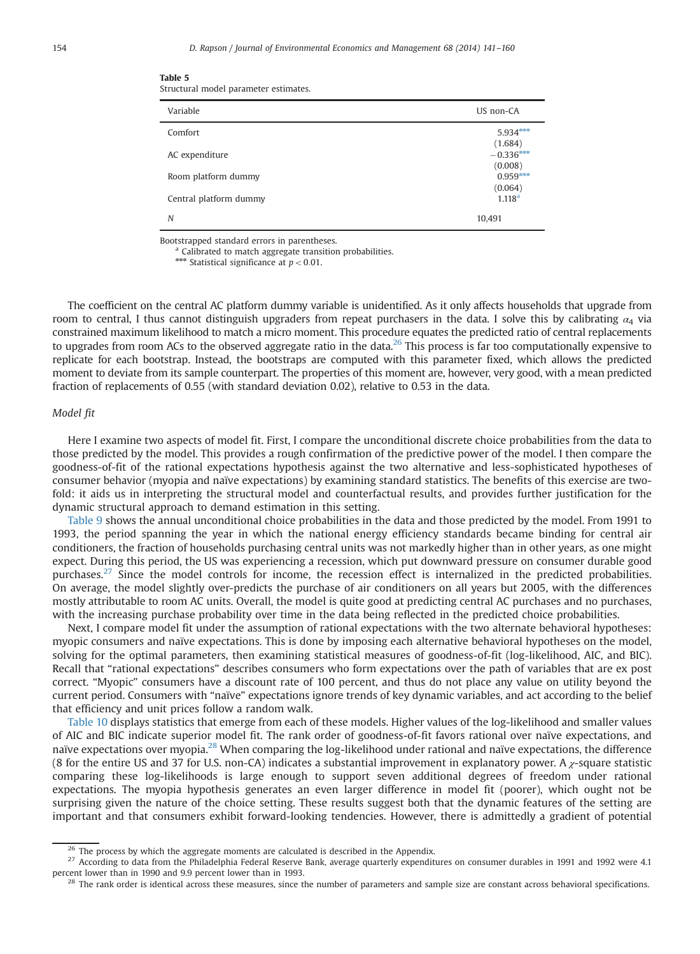| Variable               | US non-CA                     |
|------------------------|-------------------------------|
| Comfort                | $5.934***$<br>(1.684)         |
| AC expenditure         | $-0.336***$                   |
| Room platform dummy    | (0.008)<br>$0.959***$         |
| Central platform dummy | (0.064)<br>1.118 <sup>a</sup> |
| N                      | 10,491                        |

<span id="page-13-0"></span>

| Table 5 |                                       |  |
|---------|---------------------------------------|--|
|         | Structural model parameter estimates. |  |

Bootstrapped standard errors in parentheses.

<sup>a</sup> Calibrated to match aggregate transition probabilities.

\*\*\* Statistical significance at  $p < 0.01$ .

The coefficient on the central AC platform dummy variable is unidentified. As it only affects households that upgrade from room to central, I thus cannot distinguish upgraders from repeat purchasers in the data. I solve this by calibrating  $a_4$  via constrained maximum likelihood to match a micro moment. This procedure equates the predicted ratio of central replacements to upgrades from room ACs to the observed aggregate ratio in the data. $^{26}$  This process is far too computationally expensive to replicate for each bootstrap. Instead, the bootstraps are computed with this parameter fixed, which allows the predicted moment to deviate from its sample counterpart. The properties of this moment are, however, very good, with a mean predicted fraction of replacements of 0.55 (with standard deviation 0.02), relative to 0.53 in the data.

#### Model fit

Here I examine two aspects of model fit. First, I compare the unconditional discrete choice probabilities from the data to those predicted by the model. This provides a rough confirmation of the predictive power of the model. I then compare the goodness-of-fit of the rational expectations hypothesis against the two alternative and less-sophisticated hypotheses of consumer behavior (myopia and naïve expectations) by examining standard statistics. The benefits of this exercise are twofold: it aids us in interpreting the structural model and counterfactual results, and provides further justification for the dynamic structural approach to demand estimation in this setting.

[Table 9](#page-17-0) shows the annual unconditional choice probabilities in the data and those predicted by the model. From 1991 to 1993, the period spanning the year in which the national energy efficiency standards became binding for central air conditioners, the fraction of households purchasing central units was not markedly higher than in other years, as one might expect. During this period, the US was experiencing a recession, which put downward pressure on consumer durable good purchases. $27$  Since the model controls for income, the recession effect is internalized in the predicted probabilities. On average, the model slightly over-predicts the purchase of air conditioners on all years but 2005, with the differences mostly attributable to room AC units. Overall, the model is quite good at predicting central AC purchases and no purchases, with the increasing purchase probability over time in the data being reflected in the predicted choice probabilities.

Next, I compare model fit under the assumption of rational expectations with the two alternate behavioral hypotheses: myopic consumers and naïve expectations. This is done by imposing each alternative behavioral hypotheses on the model, solving for the optimal parameters, then examining statistical measures of goodness-of-fit (log-likelihood, AIC, and BIC). Recall that "rational expectations" describes consumers who form expectations over the path of variables that are ex post correct. "Myopic" consumers have a discount rate of 100 percent, and thus do not place any value on utility beyond the current period. Consumers with "naïve" expectations ignore trends of key dynamic variables, and act according to the belief that efficiency and unit prices follow a random walk.

[Table 10](#page-17-0) displays statistics that emerge from each of these models. Higher values of the log-likelihood and smaller values of AIC and BIC indicate superior model fit. The rank order of goodness-of-fit favors rational over naïve expectations, and naïve expectations over myopia.<sup>28</sup> When comparing the log-likelihood under rational and naïve expectations, the difference (8 for the entire US and 37 for U.S. non-CA) indicates a substantial improvement in explanatory power. A  $\gamma$ -square statistic comparing these log-likelihoods is large enough to support seven additional degrees of freedom under rational expectations. The myopia hypothesis generates an even larger difference in model fit (poorer), which ought not be surprising given the nature of the choice setting. These results suggest both that the dynamic features of the setting are important and that consumers exhibit forward-looking tendencies. However, there is admittedly a gradient of potential

 $26$  The process by which the aggregate moments are calculated is described in the Appendix.

<sup>&</sup>lt;sup>27</sup> According to data from the Philadelphia Federal Reserve Bank, average quarterly expenditures on consumer durables in 1991 and 1992 were 4.1 percent lower than in 1990 and 9.9 percent lower than in 1993.

<sup>&</sup>lt;sup>8</sup> The rank order is identical across these measures, since the number of parameters and sample size are constant across behavioral specifications.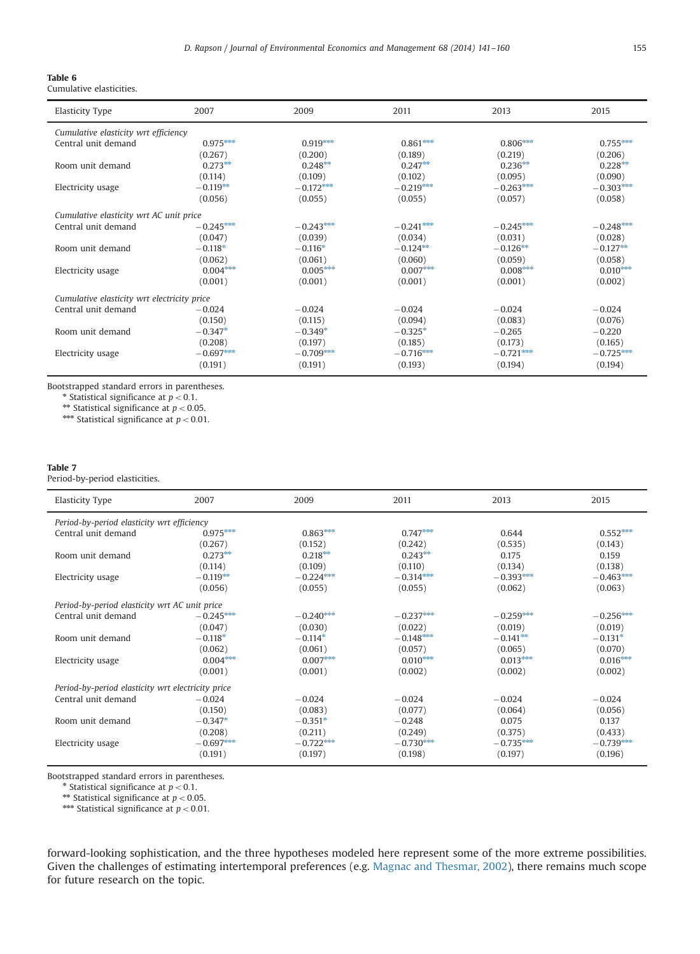#### <span id="page-14-0"></span>Table 6

Cumulative elasticities.

| <b>Elasticity Type</b>                      | 2007        | 2009        | 2011        | 2013        | 2015        |
|---------------------------------------------|-------------|-------------|-------------|-------------|-------------|
| Cumulative elasticity wrt efficiency        |             |             |             |             |             |
| Central unit demand                         | $0.975***$  | $0.919***$  | $0.861***$  | $0.806***$  | $0.755***$  |
|                                             | (0.267)     | (0.200)     | (0.189)     | (0.219)     | (0.206)     |
| Room unit demand                            | $0.273***$  | $0.248***$  | $0.247***$  | $0.236***$  | $0.228**$   |
|                                             | (0.114)     | (0.109)     | (0.102)     | (0.095)     | (0.090)     |
| Electricity usage                           | $-0.119***$ | $-0.172***$ | $-0.219***$ | $-0.263***$ | $-0.303***$ |
|                                             | (0.056)     | (0.055)     | (0.055)     | (0.057)     | (0.058)     |
| Cumulative elasticity wrt AC unit price     |             |             |             |             |             |
| Central unit demand                         | $-0.245***$ | $-0.243***$ | $-0.241***$ | $-0.245***$ | $-0.248***$ |
|                                             | (0.047)     | (0.039)     | (0.034)     | (0.031)     | (0.028)     |
| Room unit demand                            | $-0.118*$   | $-0.116*$   | $-0.124***$ | $-0.126$ ** | $-0.127**$  |
|                                             | (0.062)     | (0.061)     | (0.060)     | (0.059)     | (0.058)     |
| Electricity usage                           | $0.004***$  | $0.005***$  | $0.007***$  | $0.008***$  | $0.010***$  |
|                                             | (0.001)     | (0.001)     | (0.001)     | (0.001)     | (0.002)     |
| Cumulative elasticity wrt electricity price |             |             |             |             |             |
| Central unit demand                         | $-0.024$    | $-0.024$    | $-0.024$    | $-0.024$    | $-0.024$    |
|                                             | (0.150)     | (0.115)     | (0.094)     | (0.083)     | (0.076)     |
| Room unit demand                            | $-0.347*$   | $-0.349*$   | $-0.325*$   | $-0.265$    | $-0.220$    |
|                                             | (0.208)     | (0.197)     | (0.185)     | (0.173)     | (0.165)     |
| Electricity usage                           | $-0.697***$ | $-0.709***$ | $-0.716***$ | $-0.721***$ | $-0.725***$ |
|                                             | (0.191)     | (0.191)     | (0.193)     | (0.194)     | (0.194)     |
|                                             |             |             |             |             |             |

Bootstrapped standard errors in parentheses.<br>\* Statistical significance at  $p < 0.1$ .

\*\* Statistical significance at  $p < 0.05$ . \*\*\* Statistical significance at  $p < 0.01$ .

#### Table 7

 $\overline{a}$ 

Period-by-period elasticities.

| <b>Elasticity Type</b>                            | 2007                                       | 2009        | 2011        | 2013        | 2015        |  |  |
|---------------------------------------------------|--------------------------------------------|-------------|-------------|-------------|-------------|--|--|
|                                                   | Period-by-period elasticity wrt efficiency |             |             |             |             |  |  |
| Central unit demand                               | $0.975***$                                 | $0.863***$  | $0.747***$  | 0.644       | $0.552***$  |  |  |
|                                                   | (0.267)                                    | (0.152)     | (0.242)     | (0.535)     | (0.143)     |  |  |
| Room unit demand                                  | $0.273***$                                 | $0.218***$  | $0.243***$  | 0.175       | 0.159       |  |  |
|                                                   | (0.114)                                    | (0.109)     | (0.110)     | (0.134)     | (0.138)     |  |  |
| Electricity usage                                 | $-0.119***$                                | $-0.224***$ | $-0.314***$ | $-0.393***$ | $-0.463***$ |  |  |
|                                                   | (0.056)                                    | (0.055)     | (0.055)     | (0.062)     | (0.063)     |  |  |
| Period-by-period elasticity wrt AC unit price     |                                            |             |             |             |             |  |  |
| Central unit demand                               | $-0.245***$                                | $-0.240***$ | $-0.237***$ | $-0.259***$ | $-0.256***$ |  |  |
|                                                   | (0.047)                                    | (0.030)     | (0.022)     | (0.019)     | (0.019)     |  |  |
| Room unit demand                                  | $-0.118*$                                  | $-0.114*$   | $-0.148***$ | $-0.141***$ | $-0.131*$   |  |  |
|                                                   | (0.062)                                    | (0.061)     | (0.057)     | (0.065)     | (0.070)     |  |  |
| Electricity usage                                 | $0.004***$                                 | $0.007***$  | $0.010***$  | $0.013***$  | $0.016***$  |  |  |
|                                                   | (0.001)                                    | (0.001)     | (0.002)     | (0.002)     | (0.002)     |  |  |
| Period-by-period elasticity wrt electricity price |                                            |             |             |             |             |  |  |
| Central unit demand                               | $-0.024$                                   | $-0.024$    | $-0.024$    | $-0.024$    | $-0.024$    |  |  |
|                                                   | (0.150)                                    | (0.083)     | (0.077)     | (0.064)     | (0.056)     |  |  |
| Room unit demand                                  | $-0.347*$                                  | $-0.351*$   | $-0.248$    | 0.075       | 0.137       |  |  |
|                                                   | (0.208)                                    | (0.211)     | (0.249)     | (0.375)     | (0.433)     |  |  |
| Electricity usage                                 | $-0.697***$                                | $-0.722***$ | $-0.730***$ | $-0.735***$ | $-0.739***$ |  |  |
|                                                   | (0.191)                                    | (0.197)     | (0.198)     | (0.197)     | (0.196)     |  |  |

Bootstrapped standard errors in parentheses.<br>
\* Statistical significance at  $p < 0.1$ .

**In Statistical significance at**  $p < 0.05$ **. no Statistical significance at**  $p < 0.01$ **.** 

forward-looking sophistication, and the three hypotheses modeled here represent some of the more extreme possibilities. Given the challenges of estimating intertemporal preferences (e.g. [Magnac and Thesmar, 2002\)](#page-19-0), there remains much scope for future research on the topic.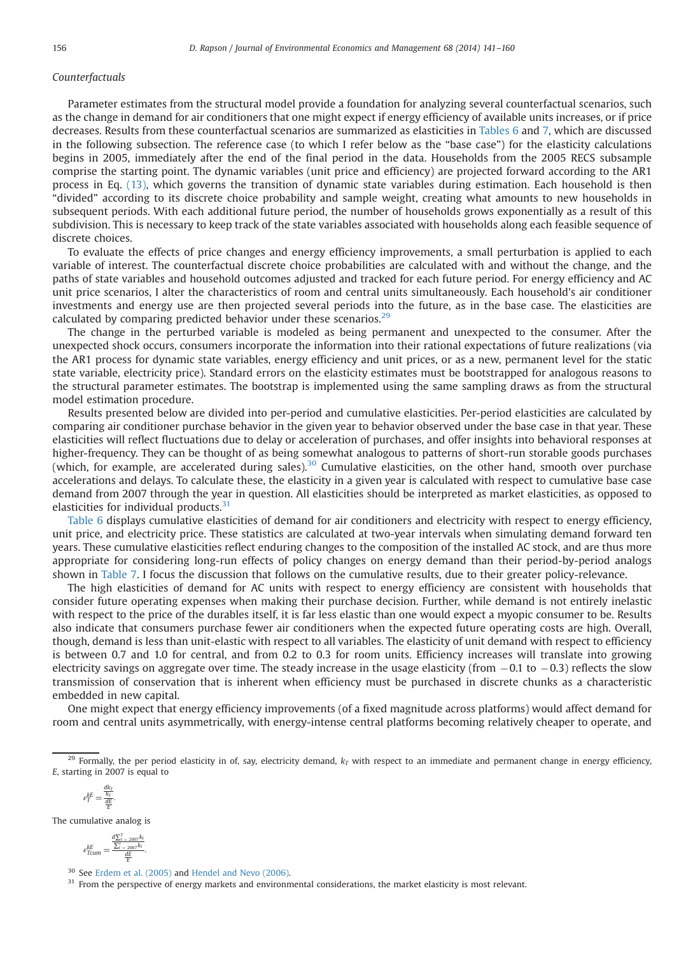## Counterfactuals

Parameter estimates from the structural model provide a foundation for analyzing several counterfactual scenarios, such as the change in demand for air conditioners that one might expect if energy efficiency of available units increases, or if price decreases. Results from these counterfactual scenarios are summarized as elasticities in [Tables 6](#page-14-0) and [7,](#page-14-0) which are discussed in the following subsection. The reference case (to which I refer below as the "base case") for the elasticity calculations begins in 2005, immediately after the end of the final period in the data. Households from the 2005 RECS subsample comprise the starting point. The dynamic variables (unit price and efficiency) are projected forward according to the AR1 process in Eq. [\(13\),](#page-10-0) which governs the transition of dynamic state variables during estimation. Each household is then "divided" according to its discrete choice probability and sample weight, creating what amounts to new households in subsequent periods. With each additional future period, the number of households grows exponentially as a result of this subdivision. This is necessary to keep track of the state variables associated with households along each feasible sequence of discrete choices.

To evaluate the effects of price changes and energy efficiency improvements, a small perturbation is applied to each variable of interest. The counterfactual discrete choice probabilities are calculated with and without the change, and the paths of state variables and household outcomes adjusted and tracked for each future period. For energy efficiency and AC unit price scenarios, I alter the characteristics of room and central units simultaneously. Each household's air conditioner investments and energy use are then projected several periods into the future, as in the base case. The elasticities are calculated by comparing predicted behavior under these scenarios.<sup>29</sup>

The change in the perturbed variable is modeled as being permanent and unexpected to the consumer. After the unexpected shock occurs, consumers incorporate the information into their rational expectations of future realizations (via the AR1 process for dynamic state variables, energy efficiency and unit prices, or as a new, permanent level for the static state variable, electricity price). Standard errors on the elasticity estimates must be bootstrapped for analogous reasons to the structural parameter estimates. The bootstrap is implemented using the same sampling draws as from the structural model estimation procedure.

Results presented below are divided into per-period and cumulative elasticities. Per-period elasticities are calculated by comparing air conditioner purchase behavior in the given year to behavior observed under the base case in that year. These elasticities will reflect fluctuations due to delay or acceleration of purchases, and offer insights into behavioral responses at higher-frequency. They can be thought of as being somewhat analogous to patterns of short-run storable goods purchases (which, for example, are accelerated during sales).<sup>30</sup> Cumulative elasticities, on the other hand, smooth over purchase accelerations and delays. To calculate these, the elasticity in a given year is calculated with respect to cumulative base case demand from 2007 through the year in question. All elasticities should be interpreted as market elasticities, as opposed to elasticities for individual products.<sup>31</sup>

[Table 6](#page-14-0) displays cumulative elasticities of demand for air conditioners and electricity with respect to energy efficiency, unit price, and electricity price. These statistics are calculated at two-year intervals when simulating demand forward ten years. These cumulative elasticities reflect enduring changes to the composition of the installed AC stock, and are thus more appropriate for considering long-run effects of policy changes on energy demand than their period-by-period analogs shown in [Table 7](#page-14-0). I focus the discussion that follows on the cumulative results, due to their greater policy-relevance.

The high elasticities of demand for AC units with respect to energy efficiency are consistent with households that consider future operating expenses when making their purchase decision. Further, while demand is not entirely inelastic with respect to the price of the durables itself, it is far less elastic than one would expect a myopic consumer to be. Results also indicate that consumers purchase fewer air conditioners when the expected future operating costs are high. Overall, though, demand is less than unit-elastic with respect to all variables. The elasticity of unit demand with respect to efficiency is between 0.7 and 1.0 for central, and from 0.2 to 0.3 for room units. Efficiency increases will translate into growing electricity savings on aggregate over time. The steady increase in the usage elasticity (from  $-0.1$  to  $-0.3$ ) reflects the slow transmission of conservation that is inherent when efficiency must be purchased in discrete chunks as a characteristic embedded in new capital.

One might expect that energy efficiency improvements (of a fixed magnitude across platforms) would affect demand for room and central units asymmetrically, with energy-intense central platforms becoming relatively cheaper to operate, and

$$
\varepsilon_T^{kE} = \frac{\frac{dk_T}{k_T}}{\frac{dE}{E}}.
$$

The cumulative analog is

$$
\varepsilon_{Tcum}^{kE} = \frac{\frac{d\sum_{t=2007}^{T} k_t}{\sum_{t=2007}^{T} k_t}}{\frac{dE}{E}}.
$$

<sup>30</sup> See [Erdem et al. \(2005\)](#page-19-0) and [Hendel and Nevo \(2006\).](#page-19-0)

<sup>31</sup> From the perspective of energy markets and environmental considerations, the market elasticity is most relevant.

<sup>&</sup>lt;sup>29</sup> Formally, the per period elasticity in of, say, electricity demand,  $k_T$  with respect to an immediate and permanent change in energy efficiency, E, starting in 2007 is equal to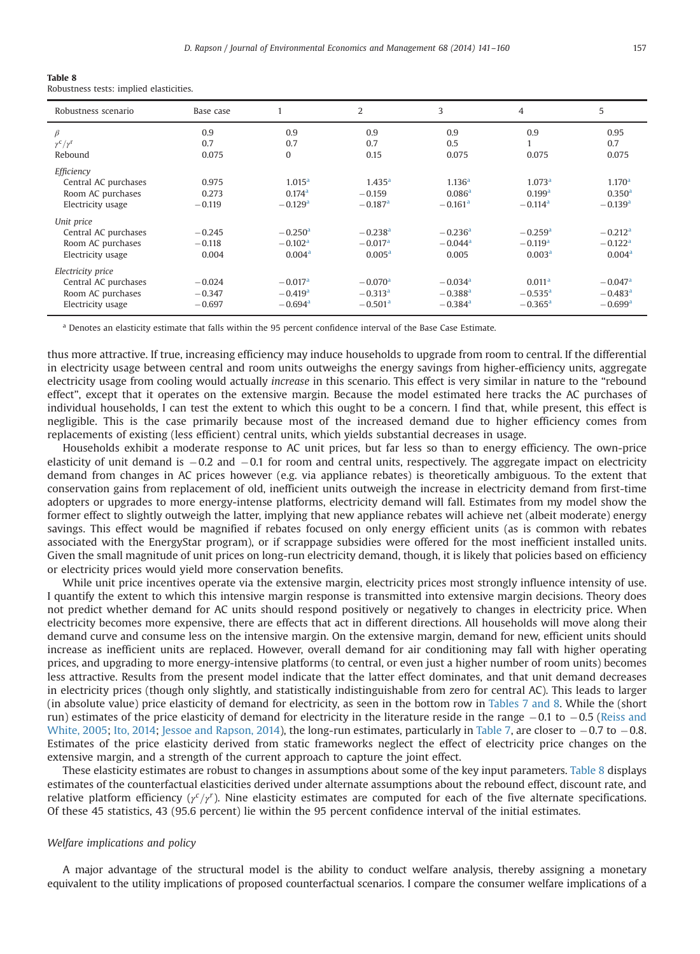| Table 8                                 |  |  |
|-----------------------------------------|--|--|
| Robustness tests: implied elasticities. |  |  |

| Robustness scenario                                                                 | Base case                        |                                                                         | 2                                                                       | 3                                                                       | $\overline{4}$                                                       | 5                                                                       |
|-------------------------------------------------------------------------------------|----------------------------------|-------------------------------------------------------------------------|-------------------------------------------------------------------------|-------------------------------------------------------------------------|----------------------------------------------------------------------|-------------------------------------------------------------------------|
| β<br>$\gamma^{\rm c}/\gamma^{\rm r}$<br>Rebound                                     | 0.9<br>0.7<br>0.075              | 0.9<br>0.7<br>$\Omega$                                                  | 0.9<br>0.7<br>0.15                                                      | 0.9<br>0.5<br>0.075                                                     | 0.9<br>0.075                                                         | 0.95<br>0.7<br>0.075                                                    |
| Efficiency<br>Central AC purchases<br>Room AC purchases<br>Electricity usage        | 0.975<br>0.273<br>$-0.119$       | 1.015 <sup>a</sup><br>0.174 <sup>a</sup><br>$-0.129$ <sup>a</sup>       | 1.435 <sup>a</sup><br>$-0.159$<br>$-0.187$ <sup>a</sup>                 | 1.136 <sup>a</sup><br>0.086 <sup>a</sup><br>$-0.161$ <sup>a</sup>       | 1.073 <sup>a</sup><br>0.199 <sup>a</sup><br>$-0.114$ <sup>a</sup>    | 1.170 <sup>a</sup><br>0.350 <sup>a</sup><br>$-0.139$ <sup>a</sup>       |
| Unit price<br>Central AC purchases<br>Room AC purchases<br>Electricity usage        | $-0.245$<br>$-0.118$<br>0.004    | $-0.250$ <sup>a</sup><br>$-0.102a$<br>0.004 <sup>a</sup>                | $-0.238$ <sup>a</sup><br>$-0.017$ <sup>a</sup><br>0.005 <sup>a</sup>    | $-0.236$ <sup>a</sup><br>$-0.044$ <sup>a</sup><br>0.005                 | $-0.259$ <sup>a</sup><br>$-0.119$ <sup>a</sup><br>0.003 <sup>a</sup> | $-0.212$ <sup>a</sup><br>$-0.122$ <sup>a</sup><br>0.004 <sup>a</sup>    |
| Electricity price<br>Central AC purchases<br>Room AC purchases<br>Electricity usage | $-0.024$<br>$-0.347$<br>$-0.697$ | $-0.017$ <sup>a</sup><br>$-0.419$ <sup>a</sup><br>$-0.694$ <sup>a</sup> | $-0.070$ <sup>a</sup><br>$-0.313$ <sup>a</sup><br>$-0.501$ <sup>a</sup> | $-0.034$ <sup>a</sup><br>$-0.388$ <sup>a</sup><br>$-0.384$ <sup>a</sup> | 0.011 <sup>a</sup><br>$-0.535$ <sup>a</sup><br>$-0.365^{\rm a}$      | $-0.047$ <sup>a</sup><br>$-0.483$ <sup>a</sup><br>$-0.699$ <sup>a</sup> |

<sup>a</sup> Denotes an elasticity estimate that falls within the 95 percent confidence interval of the Base Case Estimate.

thus more attractive. If true, increasing efficiency may induce households to upgrade from room to central. If the differential in electricity usage between central and room units outweighs the energy savings from higher-efficiency units, aggregate electricity usage from cooling would actually increase in this scenario. This effect is very similar in nature to the "rebound effect", except that it operates on the extensive margin. Because the model estimated here tracks the AC purchases of individual households, I can test the extent to which this ought to be a concern. I find that, while present, this effect is negligible. This is the case primarily because most of the increased demand due to higher efficiency comes from replacements of existing (less efficient) central units, which yields substantial decreases in usage.

Households exhibit a moderate response to AC unit prices, but far less so than to energy efficiency. The own-price elasticity of unit demand is  $-0.2$  and  $-0.1$  for room and central units, respectively. The aggregate impact on electricity demand from changes in AC prices however (e.g. via appliance rebates) is theoretically ambiguous. To the extent that conservation gains from replacement of old, inefficient units outweigh the increase in electricity demand from first-time adopters or upgrades to more energy-intense platforms, electricity demand will fall. Estimates from my model show the former effect to slightly outweigh the latter, implying that new appliance rebates will achieve net (albeit moderate) energy savings. This effect would be magnified if rebates focused on only energy efficient units (as is common with rebates associated with the EnergyStar program), or if scrappage subsidies were offered for the most inefficient installed units. Given the small magnitude of unit prices on long-run electricity demand, though, it is likely that policies based on efficiency or electricity prices would yield more conservation benefits.

While unit price incentives operate via the extensive margin, electricity prices most strongly influence intensity of use. I quantify the extent to which this intensive margin response is transmitted into extensive margin decisions. Theory does not predict whether demand for AC units should respond positively or negatively to changes in electricity price. When electricity becomes more expensive, there are effects that act in different directions. All households will move along their demand curve and consume less on the intensive margin. On the extensive margin, demand for new, efficient units should increase as inefficient units are replaced. However, overall demand for air conditioning may fall with higher operating prices, and upgrading to more energy-intensive platforms (to central, or even just a higher number of room units) becomes less attractive. Results from the present model indicate that the latter effect dominates, and that unit demand decreases in electricity prices (though only slightly, and statistically indistinguishable from zero for central AC). This leads to larger (in absolute value) price elasticity of demand for electricity, as seen in the bottom row in Tables 7 and 8. While the (short run) estimates of the price elasticity of demand for electricity in the literature reside in the range  $-0.1$  to  $-0.5$  [\(Reiss and](#page-19-0) [White, 2005;](#page-19-0) [Ito, 2014](#page-19-0); [Jessoe and Rapson, 2014\)](#page-19-0), the long-run estimates, particularly in [Table 7](#page-14-0), are closer to  $-0.7$  to  $-0.8$ . Estimates of the price elasticity derived from static frameworks neglect the effect of electricity price changes on the extensive margin, and a strength of the current approach to capture the joint effect.

These elasticity estimates are robust to changes in assumptions about some of the key input parameters. Table 8 displays estimates of the counterfactual elasticities derived under alternate assumptions about the rebound effect, discount rate, and relative platform efficiency  $(\gamma^c/\gamma^r)$ . Nine elasticity estimates are computed for each of the five alternate specifications. Of these 45 statistics, 43 (95.6 percent) lie within the 95 percent confidence interval of the initial estimates.

#### Welfare implications and policy

A major advantage of the structural model is the ability to conduct welfare analysis, thereby assigning a monetary equivalent to the utility implications of proposed counterfactual scenarios. I compare the consumer welfare implications of a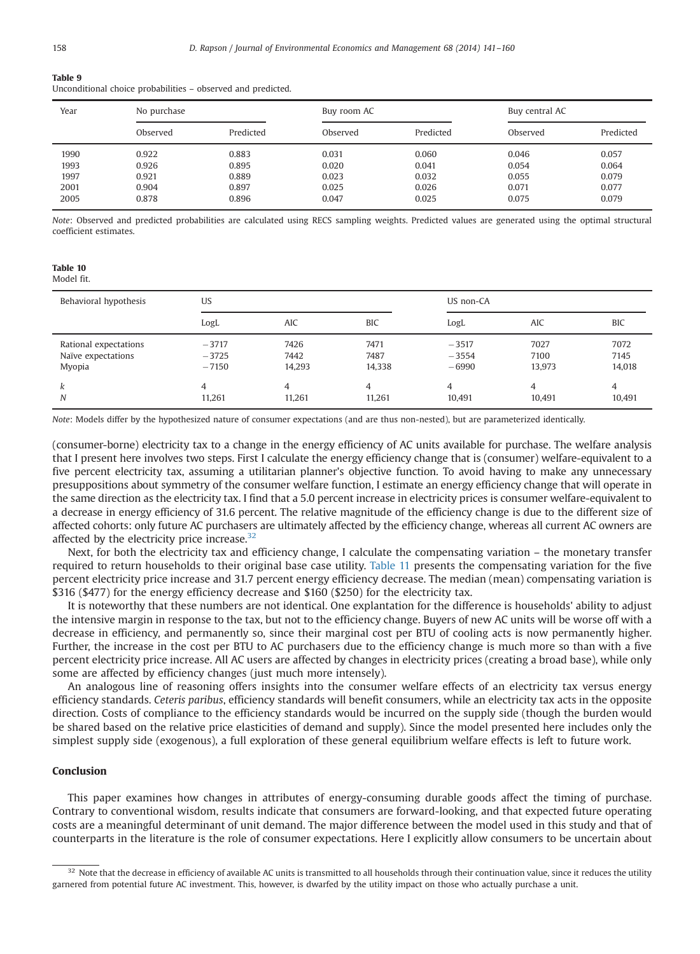#### <span id="page-17-0"></span>Table 9

| Unconditional choice probabilities - observed and predicted. |  |  |  |  |  |
|--------------------------------------------------------------|--|--|--|--|--|
|--------------------------------------------------------------|--|--|--|--|--|

| Year | No purchase |           | Buy room AC |           |          | Buy central AC |  |
|------|-------------|-----------|-------------|-----------|----------|----------------|--|
|      | Observed    | Predicted | Observed    | Predicted | Observed | Predicted      |  |
| 1990 | 0.922       | 0.883     | 0.031       | 0.060     | 0.046    | 0.057          |  |
| 1993 | 0.926       | 0.895     | 0.020       | 0.041     | 0.054    | 0.064          |  |
| 1997 | 0.921       | 0.889     | 0.023       | 0.032     | 0.055    | 0.079          |  |
| 2001 | 0.904       | 0.897     | 0.025       | 0.026     | 0.071    | 0.077          |  |
| 2005 | 0.878       | 0.896     | 0.047       | 0.025     | 0.075    | 0.079          |  |

Note: Observed and predicted probabilities are calculated using RECS sampling weights. Predicted values are generated using the optimal structural coefficient estimates.

## Table 10

Model fit.

| Behavioral hypothesis | US      |            | US non-CA  |         |            |            |
|-----------------------|---------|------------|------------|---------|------------|------------|
|                       | LogL    | <b>AIC</b> | <b>BIC</b> | LogL    | <b>AIC</b> | <b>BIC</b> |
| Rational expectations | $-3717$ | 7426       | 7471       | $-3517$ | 7027       | 7072       |
| Naïve expectations    | $-3725$ | 7442       | 7487       | $-3554$ | 7100       | 7145       |
| Myopia                | $-7150$ | 14,293     | 14,338     | $-6990$ | 13,973     | 14,018     |
| k                     | 4       | 4          | 4          | 4       | 4          | 4          |
| N                     | 11.261  | 11.261     | 11,261     | 10,491  | 10,491     | 10,491     |

Note: Models differ by the hypothesized nature of consumer expectations (and are thus non-nested), but are parameterized identically.

(consumer-borne) electricity tax to a change in the energy efficiency of AC units available for purchase. The welfare analysis that I present here involves two steps. First I calculate the energy efficiency change that is (consumer) welfare-equivalent to a five percent electricity tax, assuming a utilitarian planner's objective function. To avoid having to make any unnecessary presuppositions about symmetry of the consumer welfare function, I estimate an energy efficiency change that will operate in the same direction as the electricity tax. I find that a 5.0 percent increase in electricity prices is consumer welfare-equivalent to a decrease in energy efficiency of 31.6 percent. The relative magnitude of the efficiency change is due to the different size of affected cohorts: only future AC purchasers are ultimately affected by the efficiency change, whereas all current AC owners are affected by the electricity price increase.<sup>32</sup>

Next, for both the electricity tax and efficiency change, I calculate the compensating variation – the monetary transfer required to return households to their original base case utility. [Table 11](#page-18-0) presents the compensating variation for the five percent electricity price increase and 31.7 percent energy efficiency decrease. The median (mean) compensating variation is \$316 (\$477) for the energy efficiency decrease and \$160 (\$250) for the electricity tax.

It is noteworthy that these numbers are not identical. One explantation for the difference is households' ability to adjust the intensive margin in response to the tax, but not to the efficiency change. Buyers of new AC units will be worse off with a decrease in efficiency, and permanently so, since their marginal cost per BTU of cooling acts is now permanently higher. Further, the increase in the cost per BTU to AC purchasers due to the efficiency change is much more so than with a five percent electricity price increase. All AC users are affected by changes in electricity prices (creating a broad base), while only some are affected by efficiency changes (just much more intensely).

An analogous line of reasoning offers insights into the consumer welfare effects of an electricity tax versus energy efficiency standards. Ceteris paribus, efficiency standards will benefit consumers, while an electricity tax acts in the opposite direction. Costs of compliance to the efficiency standards would be incurred on the supply side (though the burden would be shared based on the relative price elasticities of demand and supply). Since the model presented here includes only the simplest supply side (exogenous), a full exploration of these general equilibrium welfare effects is left to future work.

## Conclusion

This paper examines how changes in attributes of energy-consuming durable goods affect the timing of purchase. Contrary to conventional wisdom, results indicate that consumers are forward-looking, and that expected future operating costs are a meaningful determinant of unit demand. The major difference between the model used in this study and that of counterparts in the literature is the role of consumer expectations. Here I explicitly allow consumers to be uncertain about

 $32$  Note that the decrease in efficiency of available AC units is transmitted to all households through their continuation value, since it reduces the utility garnered from potential future AC investment. This, however, is dwarfed by the utility impact on those who actually purchase a unit.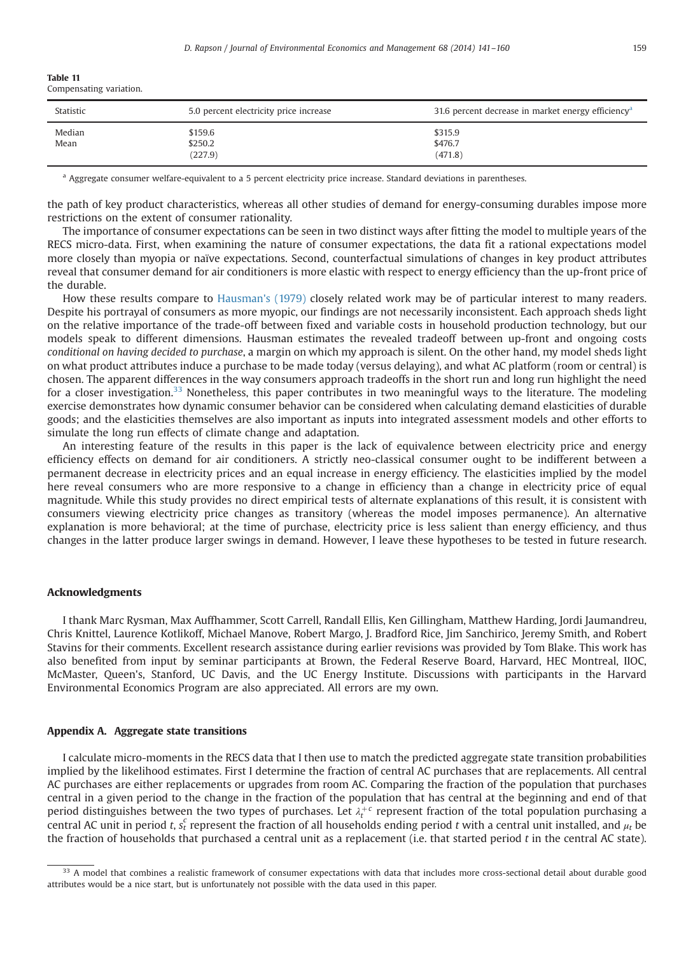<span id="page-18-0"></span>

| Table 11                |  |
|-------------------------|--|
| Compensating variation. |  |

| Statistic      | 5.0 percent electricity price increase | 31.6 percent decrease in market energy efficiency <sup>a</sup> |
|----------------|----------------------------------------|----------------------------------------------------------------|
| Median<br>Mean | \$159.6<br>\$250.2<br>(227.9)          | \$315.9<br>\$476.7<br>(471.8)                                  |

<sup>a</sup> Aggregate consumer welfare-equivalent to a 5 percent electricity price increase. Standard deviations in parentheses.

the path of key product characteristics, whereas all other studies of demand for energy-consuming durables impose more restrictions on the extent of consumer rationality.

The importance of consumer expectations can be seen in two distinct ways after fitting the model to multiple years of the RECS micro-data. First, when examining the nature of consumer expectations, the data fit a rational expectations model more closely than myopia or naïve expectations. Second, counterfactual simulations of changes in key product attributes reveal that consumer demand for air conditioners is more elastic with respect to energy efficiency than the up-front price of the durable.

How these results compare to [Hausman's \(1979\)](#page-19-0) closely related work may be of particular interest to many readers. Despite his portrayal of consumers as more myopic, our findings are not necessarily inconsistent. Each approach sheds light on the relative importance of the trade-off between fixed and variable costs in household production technology, but our models speak to different dimensions. Hausman estimates the revealed tradeoff between up-front and ongoing costs conditional on having decided to purchase, a margin on which my approach is silent. On the other hand, my model sheds light on what product attributes induce a purchase to be made today (versus delaying), and what AC platform (room or central) is chosen. The apparent differences in the way consumers approach tradeoffs in the short run and long run highlight the need for a closer investigation.<sup>33</sup> Nonetheless, this paper contributes in two meaningful ways to the literature. The modeling exercise demonstrates how dynamic consumer behavior can be considered when calculating demand elasticities of durable goods; and the elasticities themselves are also important as inputs into integrated assessment models and other efforts to simulate the long run effects of climate change and adaptation.

An interesting feature of the results in this paper is the lack of equivalence between electricity price and energy efficiency effects on demand for air conditioners. A strictly neo-classical consumer ought to be indifferent between a permanent decrease in electricity prices and an equal increase in energy efficiency. The elasticities implied by the model here reveal consumers who are more responsive to a change in efficiency than a change in electricity price of equal magnitude. While this study provides no direct empirical tests of alternate explanations of this result, it is consistent with consumers viewing electricity price changes as transitory (whereas the model imposes permanence). An alternative explanation is more behavioral; at the time of purchase, electricity price is less salient than energy efficiency, and thus changes in the latter produce larger swings in demand. However, I leave these hypotheses to be tested in future research.

## Acknowledgments

I thank Marc Rysman, Max Auffhammer, Scott Carrell, Randall Ellis, Ken Gillingham, Matthew Harding, Jordi Jaumandreu, Chris Knittel, Laurence Kotlikoff, Michael Manove, Robert Margo, J. Bradford Rice, Jim Sanchirico, Jeremy Smith, and Robert Stavins for their comments. Excellent research assistance during earlier revisions was provided by Tom Blake. This work has also benefited from input by seminar participants at Brown, the Federal Reserve Board, Harvard, HEC Montreal, IIOC, McMaster, Queen's, Stanford, UC Davis, and the UC Energy Institute. Discussions with participants in the Harvard Environmental Economics Program are also appreciated. All errors are my own.

#### Appendix A. Aggregate state transitions

I calculate micro-moments in the RECS data that I then use to match the predicted aggregate state transition probabilities implied by the likelihood estimates. First I determine the fraction of central AC purchases that are replacements. All central AC purchases are either replacements or upgrades from room AC. Comparing the fraction of the population that purchases central in a given period to the change in the fraction of the population that has central at the beginning and end of that period distinguishes between the two types of purchases. Let  $\lambda_t^{+\epsilon}$  represent fraction of the total population purchasing a central AC unit in period t,  $s_t^c$  represent the fraction of all households ending period t with a central unit installed, and  $\mu_t$  be the fraction of households that purchased a central unit as a replacement (i.e. that started period t in the central AC state).

<sup>&</sup>lt;sup>33</sup> A model that combines a realistic framework of consumer expectations with data that includes more cross-sectional detail about durable good attributes would be a nice start, but is unfortunately not possible with the data used in this paper.